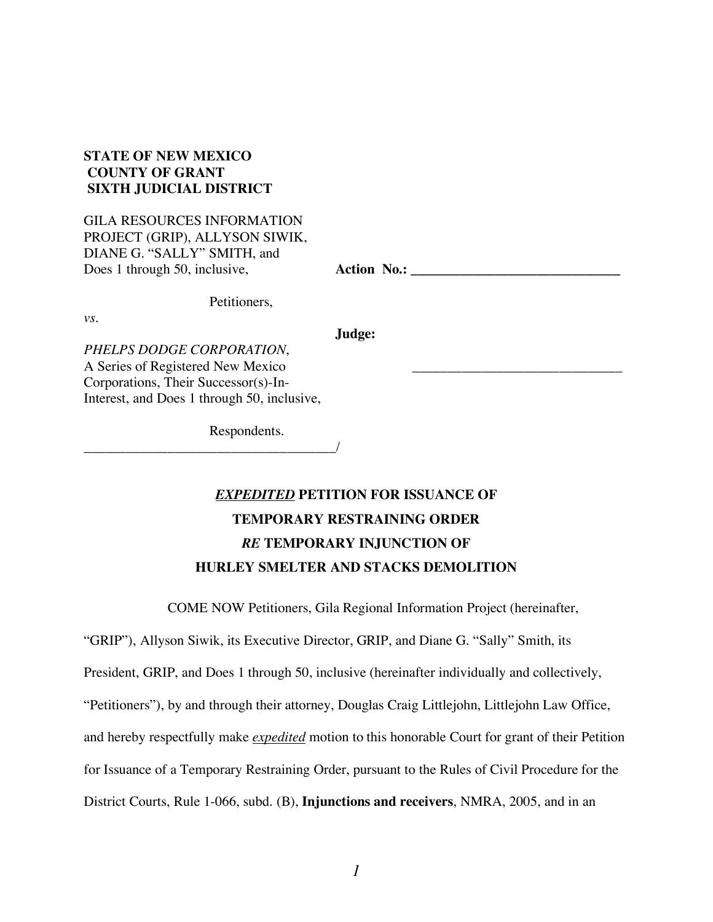## **STATE OF NEW MEXICO COUNTY OF GRANT SIXTH JUDICIAL DISTRICT**

GILA RESOURCES INFORMATION PROJECT (GRIP), ALLYSON SIWIK, DIANE G. "SALLY" SMITH, and Does 1 through 50, inclusive, **Action No.: \_\_\_\_\_\_\_\_\_\_\_\_\_\_\_\_\_\_\_\_\_\_\_\_\_\_\_\_\_\_**

Petitioners,

*vs.*

**Judge:**

*PHELPS DODGE CORPORATION*, A Series of Registered New Mexico Corporations, Their Successor(s)-In-Interest, and Does 1 through 50, inclusive,

Respondents.

\_\_\_\_\_\_\_\_\_\_\_\_\_\_\_\_\_\_\_\_\_\_\_\_\_\_\_\_\_\_\_\_\_\_\_\_/

# *EXPEDITED* **PETITION FOR ISSUANCE OF TEMPORARY RESTRAINING ORDER** *RE* **TEMPORARY INJUNCTION OF HURLEY SMELTER AND STACKS DEMOLITION**

COME NOW Petitioners, Gila Regional Information Project (hereinafter,

"GRIP"), Allyson Siwik, its Executive Director, GRIP, and Diane G. "Sally" Smith, its President, GRIP, and Does 1 through 50, inclusive (hereinafter individually and collectively, "Petitioners"), by and through their attorney, Douglas Craig Littlejohn, Littlejohn Law Office, and hereby respectfully make *expedited* motion to this honorable Court for grant of their Petition for Issuance of a Temporary Restraining Order, pursuant to the Rules of Civil Procedure for the District Courts, Rule 1-066, subd. (B), **Injunctions and receivers**, NMRA, 2005, and in an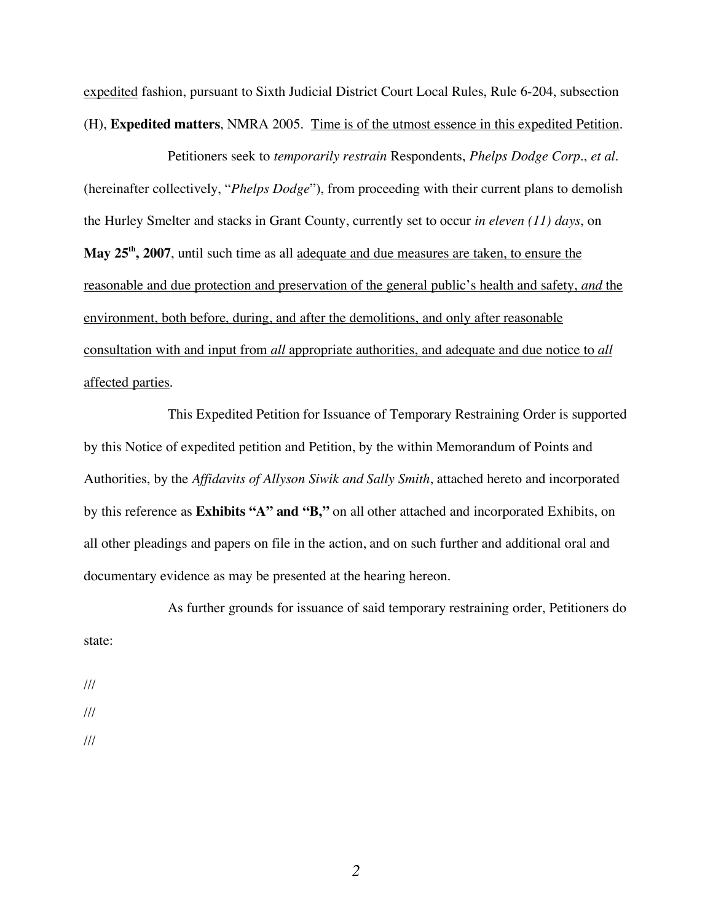expedited fashion, pursuant to Sixth Judicial District Court Local Rules, Rule 6-204, subsection (H), **Expedited matters**, NMRA 2005. Time is of the utmost essence in this expedited Petition.

Petitioners seek to *temporarily restrain* Respondents, *Phelps Dodge Corp*., *et al*. (hereinafter collectively, "*Phelps Dodge*"), from proceeding with their current plans to demolish the Hurley Smelter and stacks in Grant County, currently set to occur *in eleven (11) days*, on **May 25th , 2007**, until such time as all adequate and due measures are taken, to ensure the reasonable and due protection and preservation of the general public's health and safety, *and* the environment, both before, during, and after the demolitions, and only after reasonable consultation with and input from *all* appropriate authorities, and adequate and due notice to *all* affected parties.

This Expedited Petition for Issuance of Temporary Restraining Order is supported by this Notice of expedited petition and Petition, by the within Memorandum of Points and Authorities, by the *Affidavits of Allyson Siwik and Sally Smith*, attached hereto and incorporated by this reference as **Exhibits "A" and "B,"** on all other attached and incorporated Exhibits, on all other pleadings and papers on file in the action, and on such further and additional oral and documentary evidence as may be presented at the hearing hereon.

As further grounds for issuance of said temporary restraining order, Petitioners do state:

///

///

///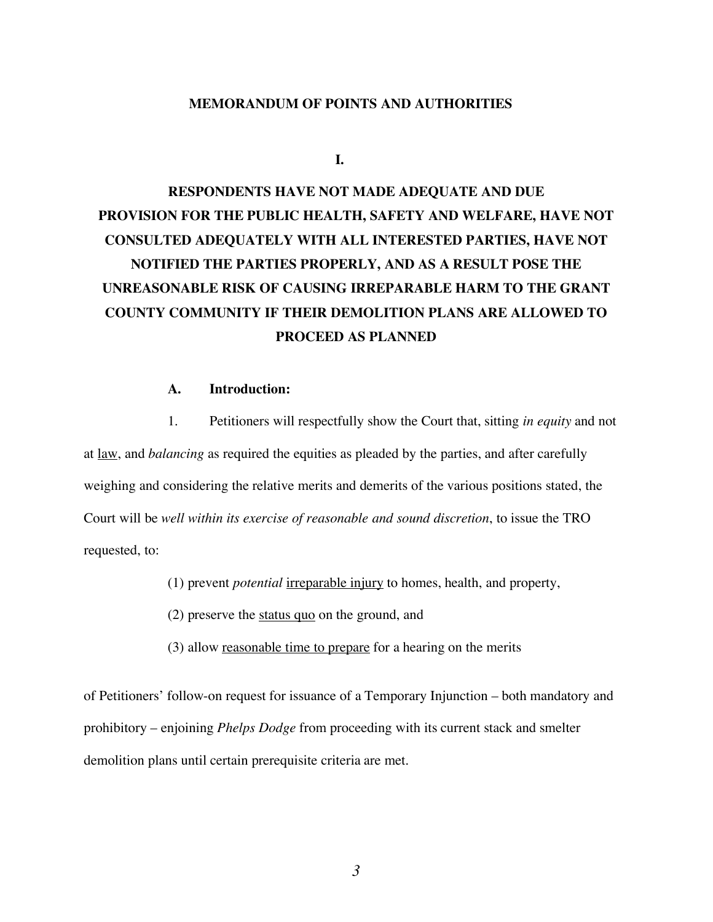#### **MEMORANDUM OF POINTS AND AUTHORITIES**

**I.**

# **RESPONDENTS HAVE NOT MADE ADEQUATE AND DUE PROVISION FOR THE PUBLIC HEALTH, SAFETY AND WELFARE, HAVE NOT CONSULTED ADEQUATELY WITH ALL INTERESTED PARTIES, HAVE NOT NOTIFIED THE PARTIES PROPERLY, AND AS A RESULT POSE THE UNREASONABLE RISK OF CAUSING IRREPARABLE HARM TO THE GRANT COUNTY COMMUNITY IF THEIR DEMOLITION PLANS ARE ALLOWED TO PROCEED AS PLANNED**

#### **A. Introduction:**

1. Petitioners will respectfully show the Court that, sitting *in equity* and not at law, and *balancing* as required the equities as pleaded by the parties, and after carefully weighing and considering the relative merits and demerits of the various positions stated, the Court will be *well within its exercise of reasonable and sound discretion*, to issue the TRO requested, to:

- (1) prevent *potential* irreparable injury to homes, health, and property,
- (2) preserve the status quo on the ground, and
- (3) allow reasonable time to prepare for a hearing on the merits

of Petitioners' follow-on request for issuance of a Temporary Injunction – both mandatory and prohibitory – enjoining *Phelps Dodge* from proceeding with its current stack and smelter demolition plans until certain prerequisite criteria are met.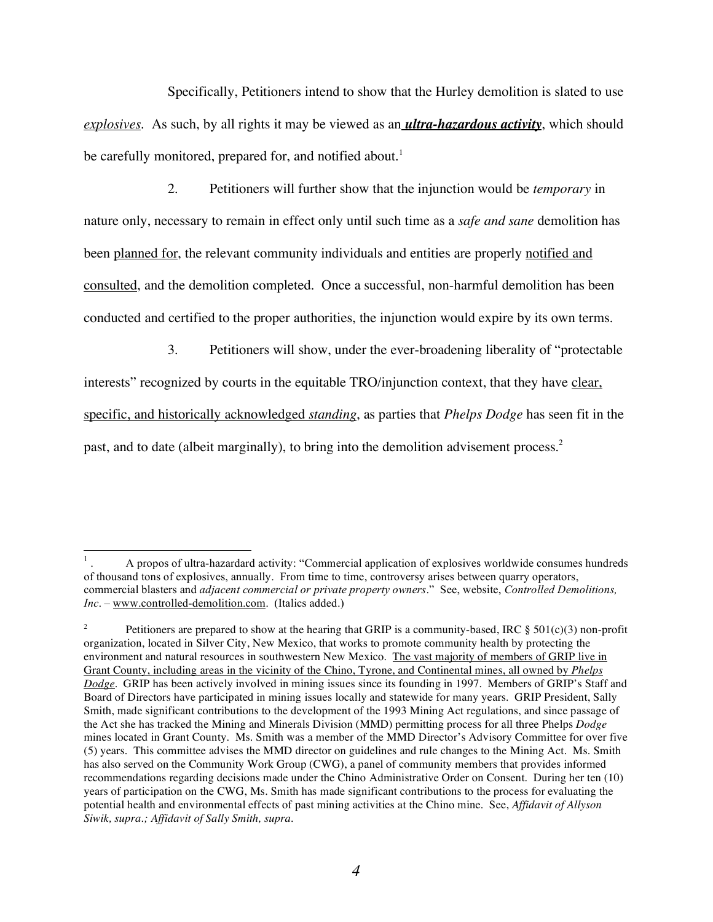Specifically, Petitioners intend to show that the Hurley demolition is slated to use *explosives*. As such, by all rights it may be viewed as an *ultra-hazardous activity*, which should be carefully monitored, prepared for, and notified about.<sup>1</sup>

2. Petitioners will further show that the injunction would be *temporary* in nature only, necessary to remain in effect only until such time as a *safe and sane* demolition has been planned for, the relevant community individuals and entities are properly notified and consulted, and the demolition completed. Once a successful, non-harmful demolition has been conducted and certified to the proper authorities, the injunction would expire by its own terms.

3. Petitioners will show, under the ever-broadening liberality of "protectable interests" recognized by courts in the equitable TRO/injunction context, that they have clear, specific, and historically acknowledged *standing*, as parties that *Phelps Dodge* has seen fit in the past, and to date (albeit marginally), to bring into the demolition advisement process.<sup>2</sup>

 <sup>1</sup> . <sup>A</sup> propos of ultra-hazardard activity: "Commercial application of explosives worldwide consumes hundreds of thousand tons of explosives, annually. From time to time, controversy arises between quarry operators, commercial blasters and *adjacent commercial or private property owners*." See, website, *Controlled Demolitions, Inc*. – www.controlled-demolition.com. (Italics added.)

<sup>2</sup> Petitioners are prepared to show at the hearing that GRIP is a community-based, IRC § 501(c)(3) non-profit organization, located in Silver City, New Mexico, that works to promote community health by protecting the environment and natural resources in southwestern New Mexico. The vast majority of members of GRIP live in Grant County, including areas in the vicinity of the Chino, Tyrone, and Continental mines, all owned by *Phelps Dodge*. GRIP has been actively involved in mining issues since its founding in 1997. Members of GRIP's Staff and Board of Directors have participated in mining issues locally and statewide for many years. GRIP President, Sally Smith, made significant contributions to the development of the 1993 Mining Act regulations, and since passage of the Act she has tracked the Mining and Minerals Division (MMD) permitting process for all three Phelps *Dodge* mines located in Grant County. Ms. Smith was a member of the MMD Director's Advisory Committee for over five (5) years. This committee advises the MMD director on guidelines and rule changes to the Mining Act. Ms. Smith has also served on the Community Work Group (CWG), a panel of community members that provides informed recommendations regarding decisions made under the Chino Administrative Order on Consent. During her ten (10) years of participation on the CWG, Ms. Smith has made significant contributions to the process for evaluating the potential health and environmental effects of past mining activities at the Chino mine. See, *Affidavit of Allyson Siwik, supra.; Affidavit of Sally Smith, supra.*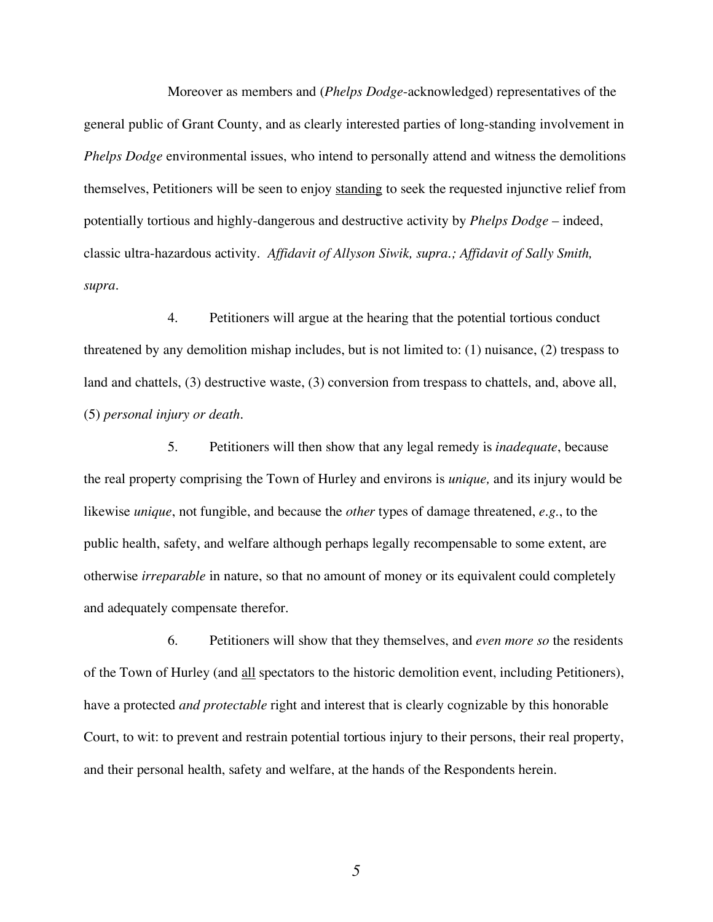Moreover as members and (*Phelps Dodge*-acknowledged) representatives of the general public of Grant County, and as clearly interested parties of long-standing involvement in *Phelps Dodge* environmental issues, who intend to personally attend and witness the demolitions themselves, Petitioners will be seen to enjoy standing to seek the requested injunctive relief from potentially tortious and highly-dangerous and destructive activity by *Phelps Dodge* – indeed, classic ultra-hazardous activity. *Affidavit of Allyson Siwik, supra.; Affidavit of Sally Smith, supra.*

4. Petitioners will argue at the hearing that the potential tortious conduct threatened by any demolition mishap includes, but is not limited to: (1) nuisance, (2) trespass to land and chattels, (3) destructive waste, (3) conversion from trespass to chattels, and, above all, (5) *personal injury or death.*

5. Petitioners will then show that any legal remedy is *inadequate*, because the real property comprising the Town of Hurley and environs is *unique,* and its injury would be likewise *unique*, not fungible, and because the *other* types of damage threatened, *e.g*., to the public health, safety, and welfare although perhaps legally recompensable to some extent, are otherwise *irreparable* in nature, so that no amount of money or its equivalent could completely and adequately compensate therefor.

6. Petitioners will show that they themselves, and *even more so* the residents of the Town of Hurley (and all spectators to the historic demolition event, including Petitioners), have a protected *and protectable* right and interest that is clearly cognizable by this honorable Court, to wit: to prevent and restrain potential tortious injury to their persons, their real property, and their personal health, safety and welfare, at the hands of the Respondents herein.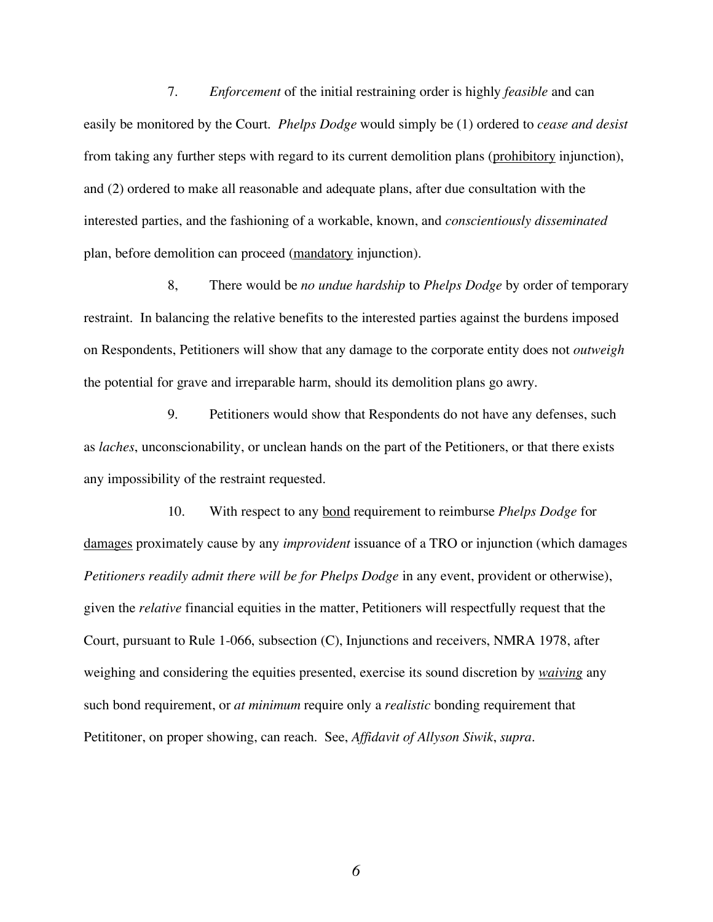7. *Enforcement* of the initial restraining order is highly *feasible* and can easily be monitored by the Court. *Phelps Dodge* would simply be (1) ordered to *cease and desist* from taking any further steps with regard to its current demolition plans (prohibitory injunction), and (2) ordered to make all reasonable and adequate plans, after due consultation with the interested parties, and the fashioning of a workable, known, and *conscientiously disseminated* plan, before demolition can proceed (mandatory injunction).

8, There would be *no undue hardship* to *Phelps Dodge* by order of temporary restraint. In balancing the relative benefits to the interested parties against the burdens imposed on Respondents, Petitioners will show that any damage to the corporate entity does not *outweigh* the potential for grave and irreparable harm, should its demolition plans go awry.

9. Petitioners would show that Respondents do not have any defenses, such as *laches*, unconscionability, or unclean hands on the part of the Petitioners, or that there exists any impossibility of the restraint requested.

10. With respect to any bond requirement to reimburse *Phelps Dodge* for damages proximately cause by any *improvident* issuance of a TRO or injunction (which damages *Petitioners readily admit there will be for Phelps Dodge* in any event, provident or otherwise), given the *relative* financial equities in the matter, Petitioners will respectfully request that the Court, pursuant to Rule 1-066, subsection (C), Injunctions and receivers, NMRA 1978, after weighing and considering the equities presented, exercise its sound discretion by *waiving* any such bond requirement, or *at minimum* require only a *realistic* bonding requirement that Petititoner, on proper showing, can reach. See, *Affidavit of Allyson Siwik*, *supra*.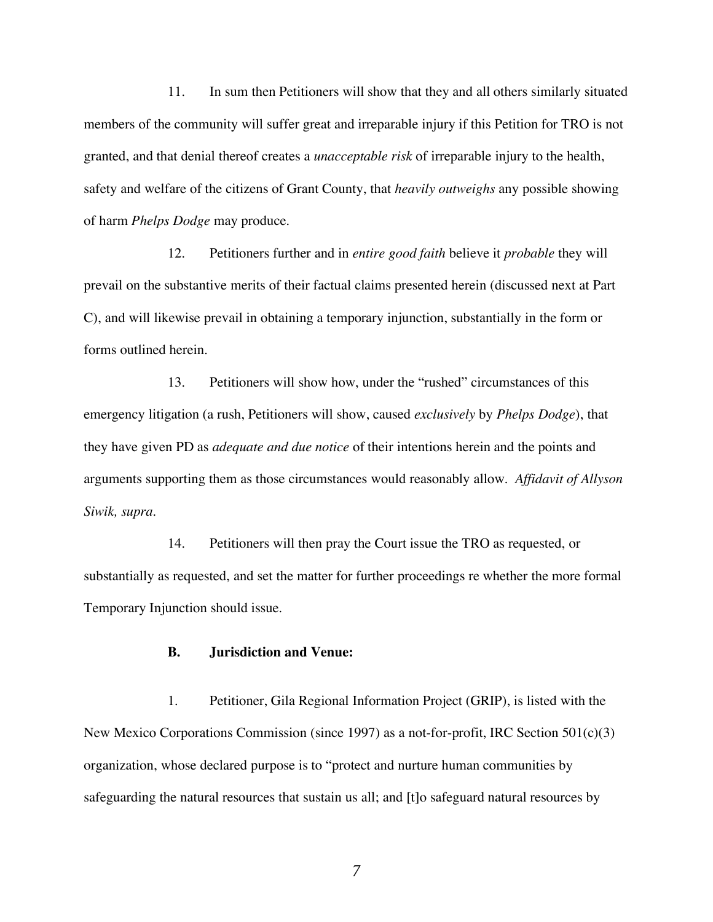11. In sum then Petitioners will show that they and all others similarly situated members of the community will suffer great and irreparable injury if this Petition for TRO is not granted, and that denial thereof creates a *unacceptable risk* of irreparable injury to the health, safety and welfare of the citizens of Grant County, that *heavily outweighs* any possible showing of harm *Phelps Dodge* may produce.

12. Petitioners further and in *entire good faith* believe it *probable* they will prevail on the substantive merits of their factual claims presented herein (discussed next at Part C), and will likewise prevail in obtaining a temporary injunction, substantially in the form or forms outlined herein.

13. Petitioners will show how, under the "rushed" circumstances of this emergency litigation (a rush, Petitioners will show, caused *exclusively* by *Phelps Dodge*), that they have given PD as *adequate and due notice* of their intentions herein and the points and arguments supporting them as those circumstances would reasonably allow. *Affidavit of Allyson Siwik, supra.*

14. Petitioners will then pray the Court issue the TRO as requested, or substantially as requested, and set the matter for further proceedings re whether the more formal Temporary Injunction should issue.

#### **B. Jurisdiction and Venue:**

1. Petitioner, Gila Regional Information Project (GRIP), is listed with the New Mexico Corporations Commission (since 1997) as a not-for-profit, IRC Section 501(c)(3) organization, whose declared purpose is to "protect and nurture human communities by safeguarding the natural resources that sustain us all; and [t]o safeguard natural resources by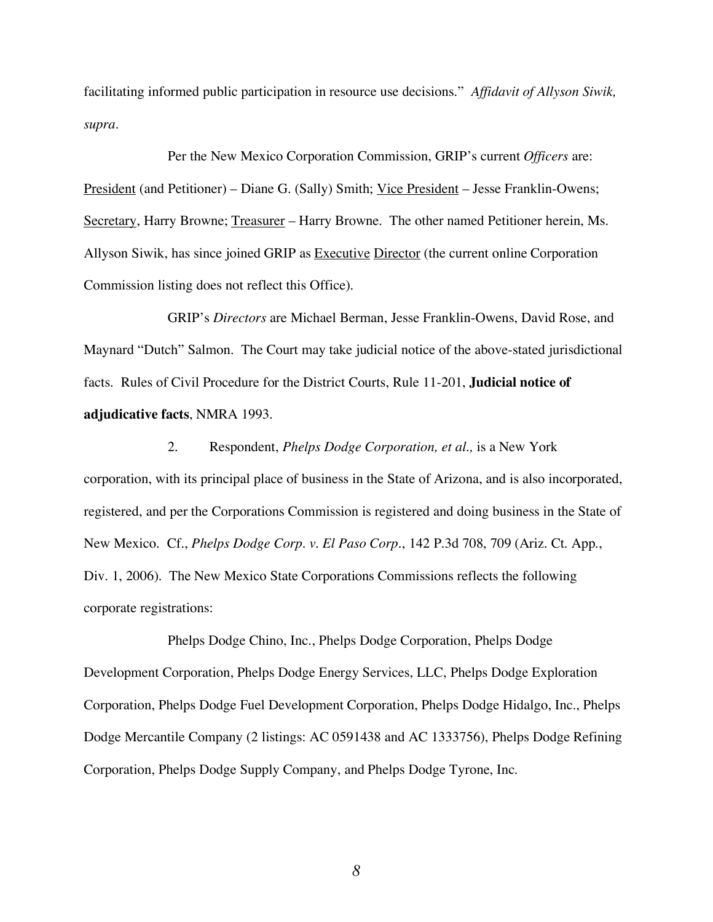facilitating informed public participation in resource use decisions." *Affidavit of Allyson Siwik, supra*.

Per the New Mexico Corporation Commission, GRIP's current *Officers* are: President (and Petitioner) – Diane G. (Sally) Smith; Vice President – Jesse Franklin-Owens; Secretary, Harry Browne; Treasurer – Harry Browne. The other named Petitioner herein, Ms. Allyson Siwik, has since joined GRIP as **Executive Director** (the current online Corporation Commission listing does not reflect this Office).

GRIP's *Directors* are Michael Berman, Jesse Franklin-Owens, David Rose, and Maynard "Dutch" Salmon. The Court may take judicial notice of the above-stated jurisdictional facts. Rules of Civil Procedure for the District Courts, Rule 11-201, **Judicial notice of adjudicative facts**, NMRA 1993.

2. Respondent, *Phelps Dodge Corporation, et al.,* is a New York corporation, with its principal place of business in the State of Arizona, and is also incorporated, registered, and per the Corporations Commission is registered and doing business in the State of New Mexico. Cf., *Phelps Dodge Corp. v. El Paso Corp*., 142 P.3d 708, 709 (Ariz. Ct. App., Div. 1, 2006). The New Mexico State Corporations Commissions reflects the following corporate registrations:

Phelps Dodge Chino, Inc., Phelps Dodge Corporation, Phelps Dodge Development Corporation, Phelps Dodge Energy Services, LLC, Phelps Dodge Exploration Corporation, Phelps Dodge Fuel Development Corporation, Phelps Dodge Hidalgo, Inc., Phelps Dodge Mercantile Company (2 listings: AC 0591438 and AC 1333756), Phelps Dodge Refining Corporation, Phelps Dodge Supply Company, and Phelps Dodge Tyrone, Inc.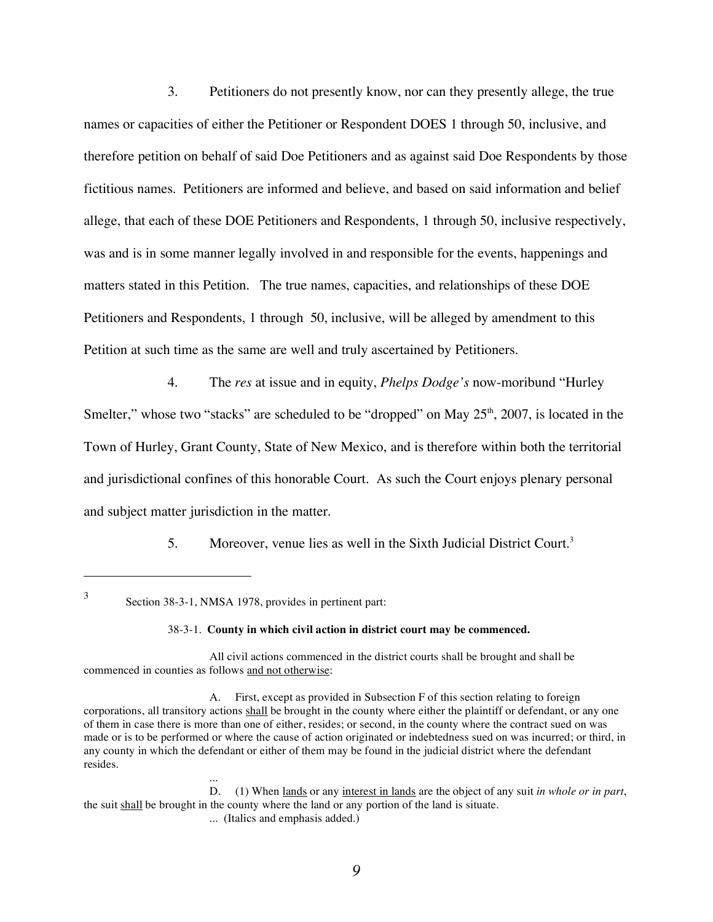3. Petitioners do not presently know, nor can they presently allege, the true names or capacities of either the Petitioner or Respondent DOES 1 through 50, inclusive, and therefore petition on behalf of said Doe Petitioners and as against said Doe Respondents by those fictitious names. Petitioners are informed and believe, and based on said information and belief allege, that each of these DOE Petitioners and Respondents, 1 through 50, inclusive respectively, was and is in some manner legally involved in and responsible for the events, happenings and matters stated in this Petition. The true names, capacities, and relationships of these DOE Petitioners and Respondents, 1 through 50, inclusive, will be alleged by amendment to this Petition at such time as the same are well and truly ascertained by Petitioners.

4. The *res* at issue and in equity, *Phelps Dodge's* now-moribund "Hurley Smelter," whose two "stacks" are scheduled to be "dropped" on May 25<sup>th</sup>, 2007, is located in the Town of Hurley, Grant County, State of New Mexico, and is therefore within both the territorial and jurisdictional confines of this honorable Court. As such the Court enjoys plenary personal and subject matter jurisdiction in the matter.

5. Moreover, venue lies as well in the Sixth Judicial District Court.<sup>3</sup>

<sup>3</sup> Section 38-3-1, NMSA 1978, provides in pertinent part:

 $\overline{a}$ 

#### 38-3-1. **County in which civil action in district court may be commenced.**

All civil actions commenced in the district courts shall be brought and shall be commenced in counties as follows and not otherwise:

A. First, except as provided in Subsection F of this section relating to foreign corporations, all transitory actions shall be brought in the county where either the plaintiff or defendant, or any one of them in case there is more than one of either, resides; or second, in the county where the contract sued on was made or is to be performed or where the cause of action originated or indebtedness sued on was incurred; or third, in any county in which the defendant or either of them may be found in the judicial district where the defendant resides.

... D. (1) When lands or any interest in lands are the object of any suit *in whole or in part*, the suit shall be brought in the county where the land or any portion of the land is situate. ... (Italics and emphasis added.)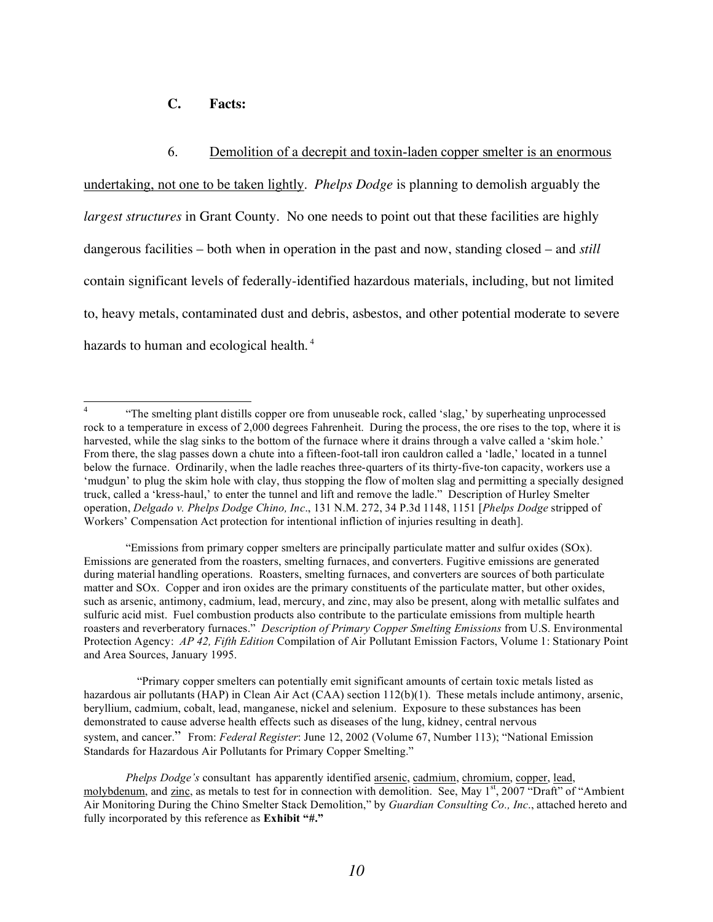#### **C. Facts:**

6. Demolition of a decrepit and toxin-laden copper smelter is an enormous

undertaking, not one to be taken lightly. *Phelps Dodge* is planning to demolish arguably the *largest structures* in Grant County. No one needs to point out that these facilities are highly dangerous facilities – both when in operation in the past and now, standing closed – and *still* contain significant levels of federally-identified hazardous materials, including, but not limited to, heavy metals, contaminated dust and debris, asbestos, and other potential moderate to severe hazards to human and ecological health.<sup>4</sup>

"Emissions from primary copper smelters are principally particulate matter and sulfur oxides (SOx). Emissions are generated from the roasters, smelting furnaces, and converters. Fugitive emissions are generated during material handling operations. Roasters, smelting furnaces, and converters are sources of both particulate matter and SOx. Copper and iron oxides are the primary constituents of the particulate matter, but other oxides, such as arsenic, antimony, cadmium, lead, mercury, and zinc, may also be present, along with metallic sulfates and sulfuric acid mist. Fuel combustion products also contribute to the particulate emissions from multiple hearth roasters and reverberatory furnaces." *Description of Primary Copper Smelting Emissions* from U.S. Environmental Protection Agency: *AP 42, Fifth Edition* Compilation of Air Pollutant Emission Factors, Volume 1: Stationary Point and Area Sources, January 1995.

"Primary copper smelters can potentially emit significant amounts of certain toxic metals listed as hazardous air pollutants (HAP) in Clean Air Act (CAA) section 112(b)(1). These metals include antimony, arsenic, beryllium, cadmium, cobalt, lead, manganese, nickel and selenium. Exposure to these substances has been demonstrated to cause adverse health effects such as diseases of the lung, kidney, central nervous system, and cancer." From: *Federal Register*: June 12, 2002 (Volume 67, Number 113); "National Emission Standards for Hazardous Air Pollutants for Primary Copper Smelting."

<sup>&</sup>lt;sup>4</sup> "The smelting plant distills copper ore from unuseable rock, called 'slag,' by superheating unprocessed rock to a temperature in excess of 2,000 degrees Fahrenheit. During the process, the ore rises to the top, where it is harvested, while the slag sinks to the bottom of the furnace where it drains through a valve called a 'skim hole.' From there, the slag passes down a chute into a fifteen-foot-tall iron cauldron called a 'ladle,' located in a tunnel below the furnace. Ordinarily, when the ladle reaches three-quarters of its thirty-five-ton capacity, workers use a 'mudgun' to plug the skim hole with clay, thus stopping the flow of molten slag and permitting a specially designed truck, called a 'kress-haul,' to enter the tunnel and lift and remove the ladle." Description of Hurley Smelter operation, *Delgado v. Phelps Dodge Chino, Inc*., 131 N.M. 272, 34 P.3d 1148, 1151 [*Phelps Dodge* stripped of Workers' Compensation Act protection for intentional infliction of injuries resulting in death].

*Phelps Dodge's* consultant has apparently identified arsenic, cadmium, chromium, copper, lead, molybdenum, and zinc, as metals to test for in connection with demolition. See, May 1<sup>st</sup>, 2007 "Draft" of "Ambient Air Monitoring During the Chino Smelter Stack Demolition," by *Guardian Consulting Co., Inc*., attached hereto and fully incorporated by this reference as **Exhibit "#."**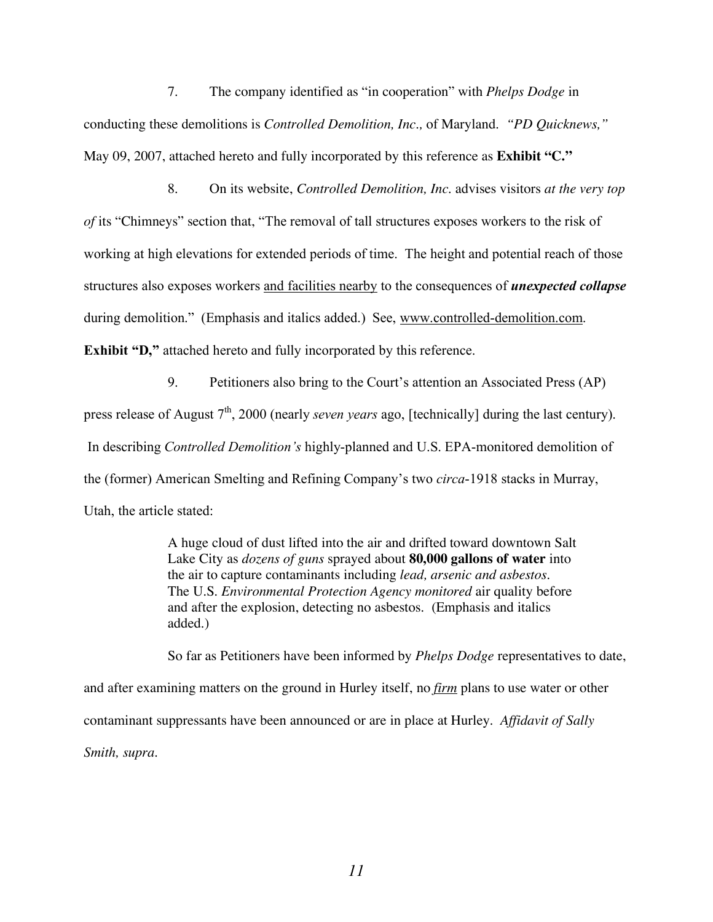7. The company identified as "in cooperation" with *Phelps Dodge* in conducting these demolitions is *Controlled Demolition, Inc.,* of Maryland. *"PD Quicknews,"* May 09, 2007, attached hereto and fully incorporated by this reference as **Exhibit "C."**

8. On its website, *Controlled Demolition, Inc.* advises visitors *at the very top of* its "Chimneys" section that, "The removal of tall structures exposes workers to the risk of working at high elevations for extended periods of time. The height and potential reach of those structures also exposes workers and facilities nearby to the consequences of *unexpected collapse* during demolition." (Emphasis and italics added.) See, www.controlled-demolition.com. **Exhibit "D,"** attached hereto and fully incorporated by this reference.

9. Petitioners also bring to the Court's attention an Associated Press (AP) press release of August 7<sup>th</sup>, 2000 (nearly *seven years* ago, [technically] during the last century). In describing *Controlled Demolition's* highly-planned and U.S. EPA-monitored demolition of the (former) American Smelting and Refining Company's two *circa*-1918 stacks in Murray, Utah, the article stated:

> A huge cloud of dust lifted into the air and drifted toward downtown Salt Lake City as *dozens of guns* sprayed about **80,000 gallons of water** into the air to capture contaminants including *lead, arsenic and asbestos*. The U.S. *Environmental Protection Agency monitored* air quality before and after the explosion, detecting no asbestos. (Emphasis and italics added.)

So far as Petitioners have been informed by *Phelps Dodge* representatives to date, and after examining matters on the ground in Hurley itself, no *firm* plans to use water or other contaminant suppressants have been announced or are in place at Hurley. *Affidavit of Sally Smith, supra*.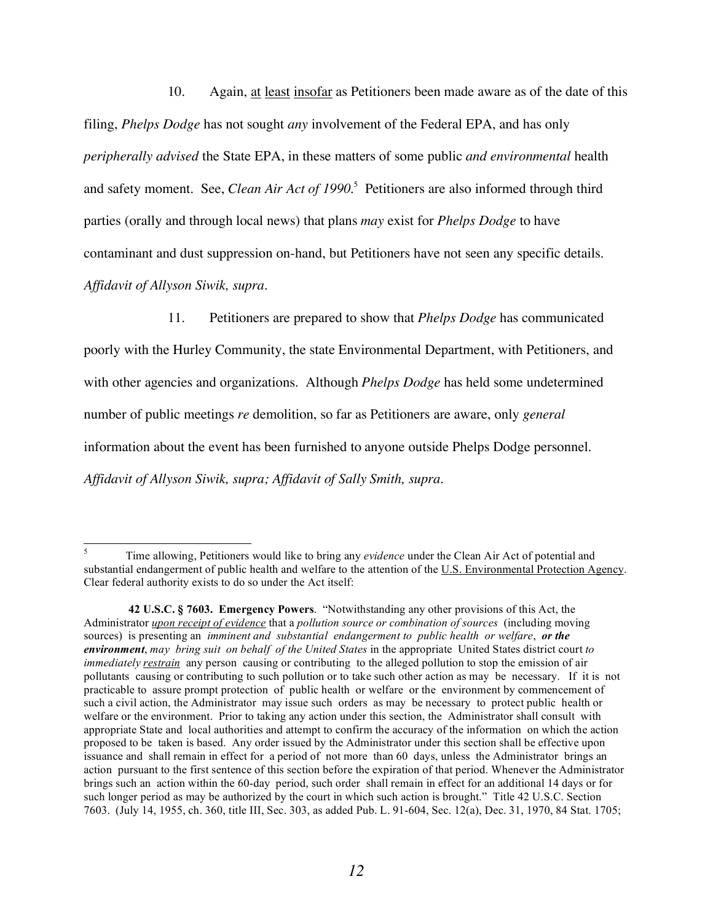10. Again, at least insofar as Petitioners been made aware as of the date of this filing, *Phelps Dodge* has not sought *any* involvement of the Federal EPA, and has only *peripherally advised* the State EPA, in these matters of some public *and environmental* health and safety moment. See, *Clean Air Act of 1990*. <sup>5</sup> Petitioners are also informed through third parties (orally and through local news) that plans *may* exist for *Phelps Dodge* to have contaminant and dust suppression on-hand, but Petitioners have not seen any specific details. *Affidavit of Allyson Siwik, supra.*

11. Petitioners are prepared to show that *Phelps Dodge* has communicated poorly with the Hurley Community, the state Environmental Department, with Petitioners, and with other agencies and organizations. Although *Phelps Dodge* has held some undetermined number of public meetings *re* demolition, so far as Petitioners are aware, only *general* information about the event has been furnished to anyone outside Phelps Dodge personnel. *Affidavit of Allyson Siwik, supra; Affidavit of Sally Smith, supra.*

 <sup>5</sup> Time allowing, Petitioners would like to bring any *evidence* under the Clean Air Act of potential and substantial endangerment of public health and welfare to the attention of the U.S. Environmental Protection Agency. Clear federal authority exists to do so under the Act itself:

**<sup>42</sup> U.S.C. § 7603. Emergency Powers**. "Notwithstanding any other provisions of this Act, the Administrator *upon receipt of evidence* that a *pollution source or combination of sources* (including moving sources) is presenting an *imminent and substantial endangerment to public health or welfare*, *or the environment*, *may bring suit on behalf of the United States* in the appropriate United States district court *to immediately restrain* any person causing or contributing to the alleged pollution to stop the emission of air pollutants causing or contributing to such pollution or to take such other action as may be necessary. If it is not practicable to assure prompt protection of public health or welfare or the environment by commencement of such a civil action, the Administrator may issue such orders as may be necessary to protect public health or welfare or the environment. Prior to taking any action under this section, the Administrator shall consult with appropriate State and local authorities and attempt to confirm the accuracy of the information on which the action proposed to be taken is based. Any order issued by the Administrator under this section shall be effective upon issuance and shall remain in effect for a period of not more than 60 days, unless the Administrator brings an action pursuant to the first sentence of this section before the expiration of that period. Whenever the Administrator brings such an action within the 60-day period, such order shall remain in effect for an additional 14 days or for such longer period as may be authorized by the court in which such action is brought." Title 42 U.S.C. Section 7603. (July 14, 1955, ch. 360, title III, Sec. 303, as added Pub. L. 91-604, Sec. 12(a), Dec. 31, 1970, 84 Stat. 1705;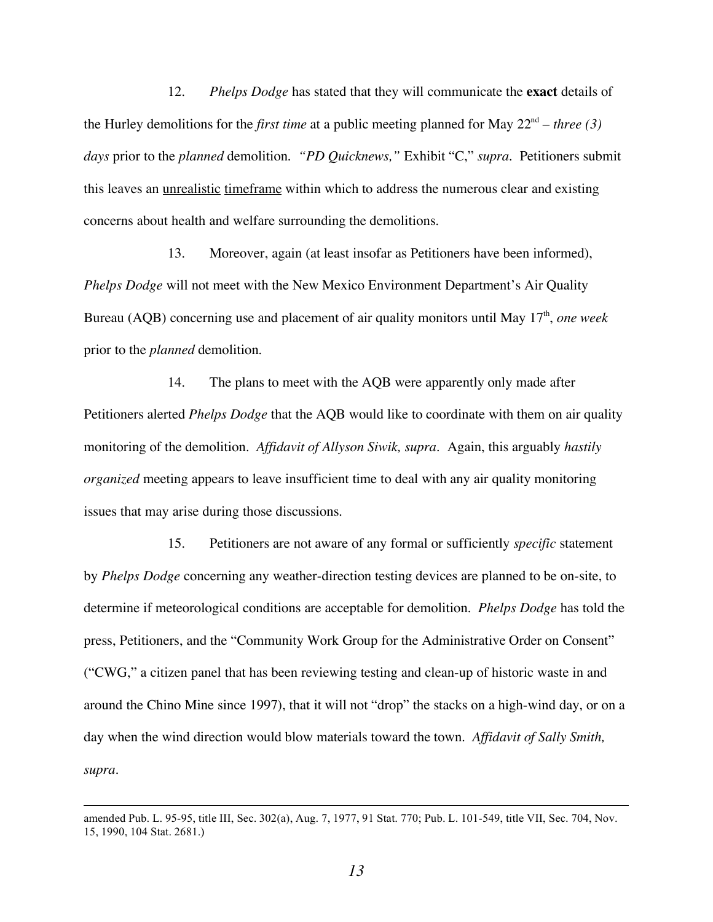12. *Phelps Dodge* has stated that they will communicate the **exact** details of the Hurley demolitions for the *first time* at a public meeting planned for May  $22<sup>nd</sup> - three (3)$ *days* prior to the *planned* demolition. *"PD Quicknews,"* Exhibit "C," *supra*. Petitioners submit this leaves an unrealistic timeframe within which to address the numerous clear and existing concerns about health and welfare surrounding the demolitions.

13. Moreover, again (at least insofar as Petitioners have been informed), *Phelps Dodge* will not meet with the New Mexico Environment Department's Air Quality Bureau (AQB) concerning use and placement of air quality monitors until May 17<sup>th</sup>, one week prior to the *planned* demolition.

14. The plans to meet with the AQB were apparently only made after Petitioners alerted *Phelps Dodge* that the AQB would like to coordinate with them on air quality monitoring of the demolition. *Affidavit of Allyson Siwik, supra.* Again, this arguably *hastily organized* meeting appears to leave insufficient time to deal with any air quality monitoring issues that may arise during those discussions.

15. Petitioners are not aware of any formal or sufficiently *specific* statement by *Phelps Dodge* concerning any weather-direction testing devices are planned to be on-site, to determine if meteorological conditions are acceptable for demolition. *Phelps Dodge* has told the press, Petitioners, and the "Community Work Group for the Administrative Order on Consent" ("CWG," a citizen panel that has been reviewing testing and clean-up of historic waste in and around the Chino Mine since 1997), that it will not "drop" the stacks on a high-wind day, or on a day when the wind direction would blow materials toward the town. *Affidavit of Sally Smith, supra.*

 $\overline{a}$ 

amended Pub. L. 95-95, title III, Sec. 302(a), Aug. 7, 1977, 91 Stat. 770; Pub. L. 101-549, title VII, Sec. 704, Nov. 15, 1990, 104 Stat. 2681.)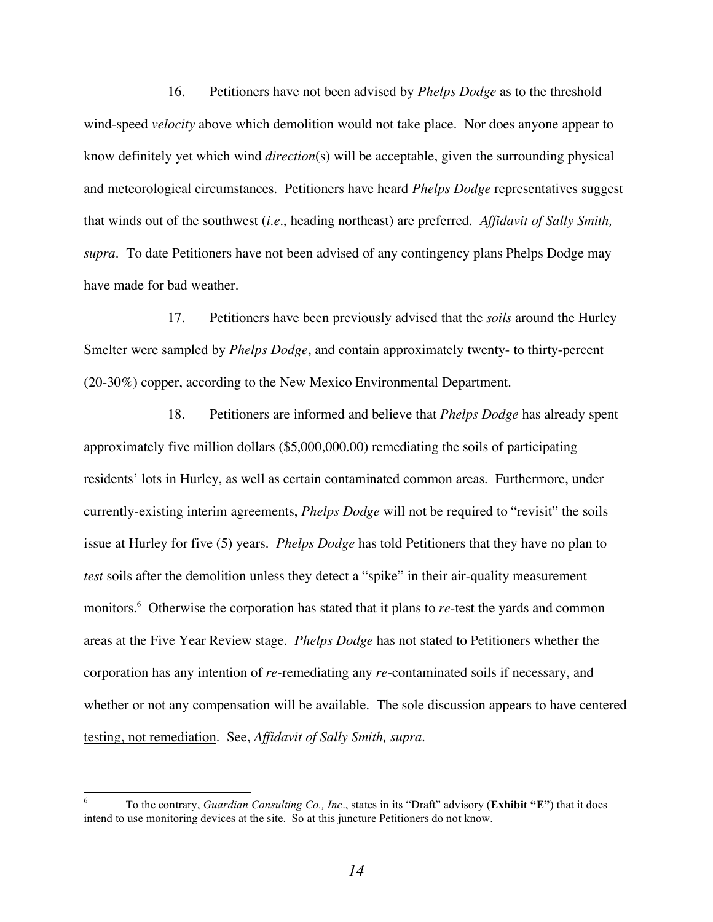16. Petitioners have not been advised by *Phelps Dodge* as to the threshold wind-speed *velocity* above which demolition would not take place. Nor does anyone appear to know definitely yet which wind *direction*(s) will be acceptable, given the surrounding physical and meteorological circumstances. Petitioners have heard *Phelps Dodge* representatives suggest that winds out of the southwest (*i.e*., heading northeast) are preferred. *Affidavit of Sally Smith, supra.* To date Petitioners have not been advised of any contingency plans Phelps Dodge may have made for bad weather.

17. Petitioners have been previously advised that the *soils* around the Hurley Smelter were sampled by *Phelps Dodge*, and contain approximately twenty- to thirty-percent (20-30%) copper, according to the New Mexico Environmental Department.

18. Petitioners are informed and believe that *Phelps Dodge* has already spent approximately five million dollars (\$5,000,000.00) remediating the soils of participating residents' lots in Hurley, as well as certain contaminated common areas. Furthermore, under currently-existing interim agreements, *Phelps Dodge* will not be required to "revisit" the soils issue at Hurley for five (5) years. *Phelps Dodge* has told Petitioners that they have no plan to *test* soils after the demolition unless they detect a "spike" in their air-quality measurement monitors. <sup>6</sup> Otherwise the corporation has stated that it plans to *re*-test the yards and common areas at the Five Year Review stage. *Phelps Dodge* has not stated to Petitioners whether the corporation has any intention of *re*-remediating any *re*-contaminated soils if necessary, and whether or not any compensation will be available. The sole discussion appears to have centered testing, not remediation. See, *Affidavit of Sally Smith, supra*.

 <sup>6</sup> To the contrary, *Guardian Consulting Co., Inc*., states in its "Draft" advisory (**Exhibit "E"**) that it does intend to use monitoring devices at the site. So at this juncture Petitioners do not know.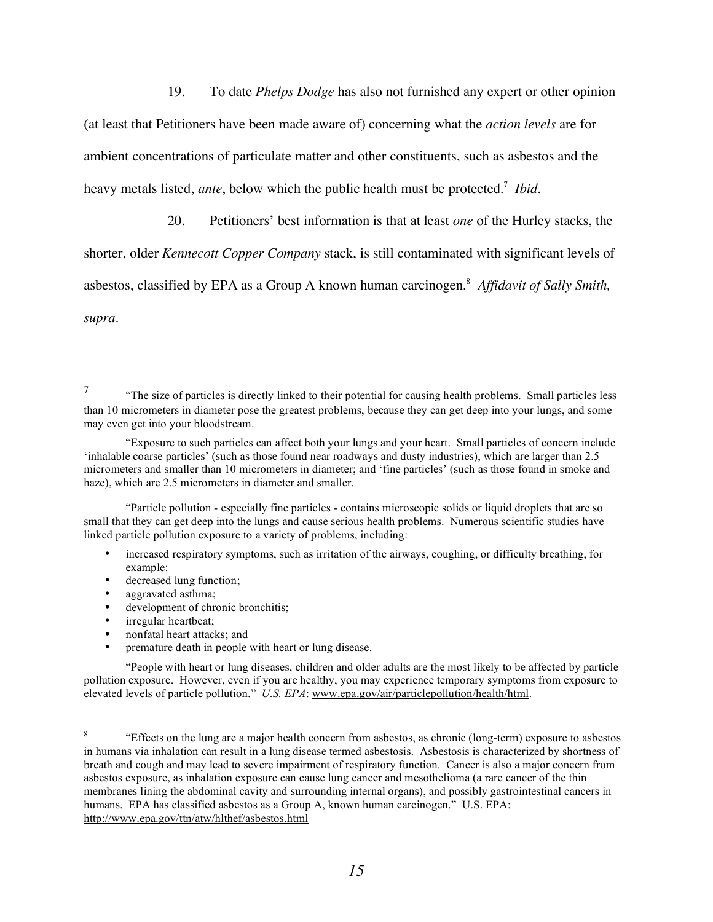19. To date *Phelps Dodge* has also not furnished any expert or other opinion

(at least that Petitioners have been made aware of) concerning what the *action levels* are for ambient concentrations of particulate matter and other constituents, such as asbestos and the heavy metals listed, *ante*, below which the public health must be protected. <sup>7</sup> *Ibid*.

20. Petitioners' best information is that at least *one* of the Hurley stacks, the shorter, older *Kennecott Copper Company* stack, is still contaminated with significant levels of asbestos, classified by EPA as a Group A known human carcinogen. <sup>8</sup> *Affidavit of Sally Smith,*

*supra*.

 $\overline{a}$ 

"Particle pollution - especially fine particles - contains microscopic solids or liquid droplets that are so small that they can get deep into the lungs and cause serious health problems. Numerous scientific studies have linked particle pollution exposure to a variety of problems, including:

- increased respiratory symptoms, such as irritation of the airways, coughing, or difficulty breathing, for example:
- decreased lung function;
- aggravated asthma;
- development of chronic bronchitis;
- irregular heartbeat;
- nonfatal heart attacks; and
- premature death in people with heart or lung disease.

"People with heart or lung diseases, children and older adults are the most likely to be affected by particle pollution exposure. However, even if you are healthy, you may experience temporary symptoms from exposure to elevated levels of particle pollution." *U.S. EPA*: www.epa.gov/air/particlepollution/health/html.

<sup>8</sup> "Effects on the lung are a major health concern from asbestos, as chronic (long-term) exposure to asbestos in humans via inhalation can result in a lung disease termed asbestosis. Asbestosis is characterized by shortness of breath and cough and may lead to severe impairment of respiratory function. Cancer is also a major concern from asbestos exposure, as inhalation exposure can cause lung cancer and mesothelioma (a rare cancer of the thin membranes lining the abdominal cavity and surrounding internal organs), and possibly gastrointestinal cancers in humans. EPA has classified asbestos as a Group A, known human carcinogen." U.S. EPA: http://www.epa.gov/ttn/atw/hlthef/asbestos.html

<sup>&</sup>lt;sup>7</sup> "The size of particles is directly linked to their potential for causing health problems. Small particles less than 10 micrometers in diameter pose the greatest problems, because they can get deep into your lungs, and some may even get into your bloodstream.

<sup>&</sup>quot;Exposure to such particles can affect both your lungs and your heart. Small particles of concern include 'inhalable coarse particles' (such as those found near roadways and dusty industries), which are larger than 2.5 micrometers and smaller than 10 micrometers in diameter; and 'fine particles' (such as those found in smoke and haze), which are 2.5 micrometers in diameter and smaller.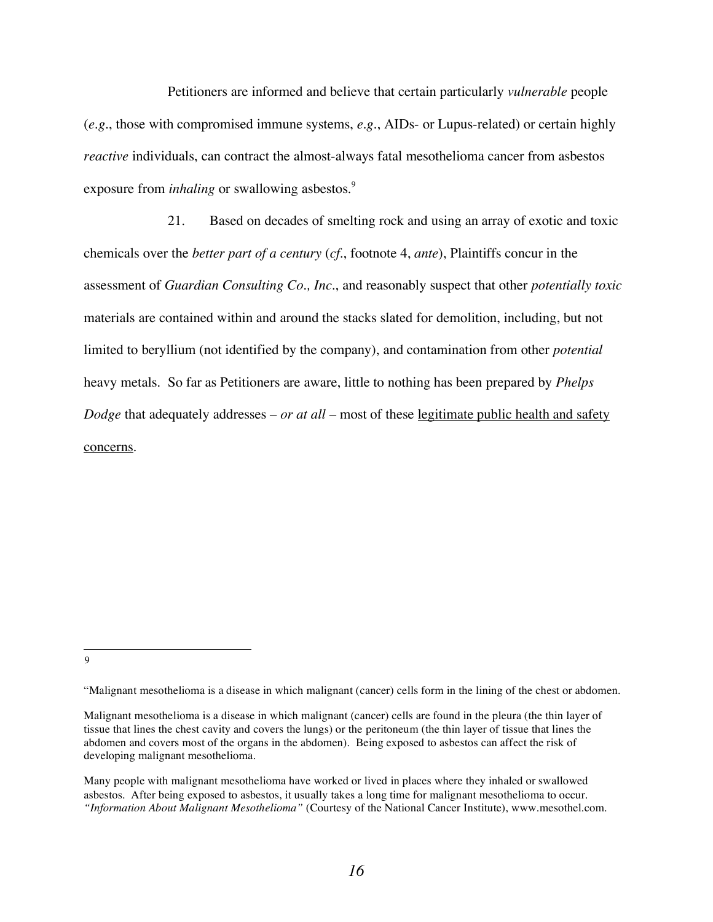Petitioners are informed and believe that certain particularly *vulnerable* people (*e.g*., those with compromised immune systems, *e.g*., AIDs- or Lupus-related) or certain highly *reactive* individuals, can contract the almost-always fatal mesothelioma cancer from asbestos exposure from *inhaling* or swallowing asbestos.<sup>9</sup>

21. Based on decades of smelting rock and using an array of exotic and toxic chemicals over the *better part of a century* (*cf*., footnote 4, *ante*), Plaintiffs concur in the assessment of *Guardian Consulting Co., Inc*., and reasonably suspect that other *potentially toxic* materials are contained within and around the stacks slated for demolition, including, but not limited to beryllium (not identified by the company), and contamination from other *potential* heavy metals. So far as Petitioners are aware, little to nothing has been prepared by *Phelps Dodge* that adequately addresses – *or at all* – most of these <u>legitimate public health and safety</u> concerns.

 $\overline{a}$ 9

<sup>&</sup>quot;Malignant mesothelioma is a disease in which malignant (cancer) cells form in the lining of the chest or abdomen.

Malignant mesothelioma is a disease in which malignant (cancer) cells are found in the pleura (the thin layer of tissue that lines the chest cavity and covers the lungs) or the peritoneum (the thin layer of tissue that lines the abdomen and covers most of the organs in the abdomen). Being exposed to asbestos can affect the risk of developing malignant mesothelioma.

Many people with malignant mesothelioma have worked or lived in places where they inhaled or swallowed asbestos. After being exposed to asbestos, it usually takes a long time for malignant mesothelioma to occur. *"Information About Malignant Mesothelioma"* (Courtesy of the National Cancer Institute), www.mesothel.com.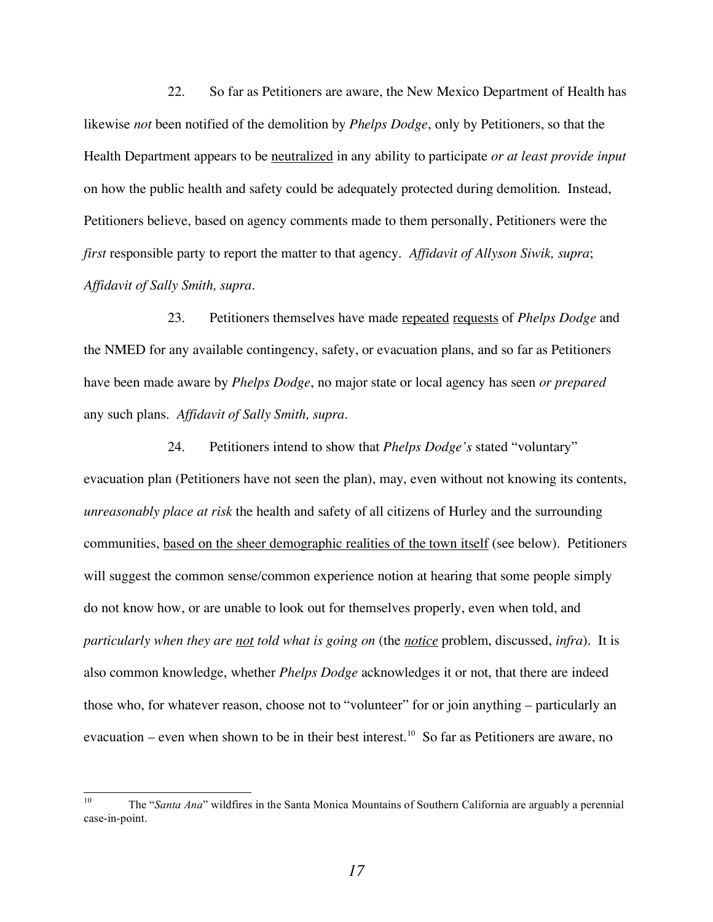22. So far as Petitioners are aware, the New Mexico Department of Health has likewise *not* been notified of the demolition by *Phelps Dodge*, only by Petitioners, so that the Health Department appears to be neutralized in any ability to participate *or at least provide input* on how the public health and safety could be adequately protected during demolition. Instead, Petitioners believe, based on agency comments made to them personally, Petitioners were the *first* responsible party to report the matter to that agency. *Affidavit of Allyson Siwik, supra*; *Affidavit of Sally Smith, supra.*

23. Petitioners themselves have made repeated requests of *Phelps Dodge* and the NMED for any available contingency, safety, or evacuation plans, and so far as Petitioners have been made aware by *Phelps Dodge*, no major state or local agency has seen *or prepared* any such plans. *Affidavit of Sally Smith, supra.*

24. Petitioners intend to show that *Phelps Dodge's* stated "voluntary" evacuation plan (Petitioners have not seen the plan), may, even without not knowing its contents, *unreasonably place at risk* the health and safety of all citizens of Hurley and the surrounding communities, based on the sheer demographic realities of the town itself (see below). Petitioners will suggest the common sense/common experience notion at hearing that some people simply do not know how, or are unable to look out for themselves properly, even when told, and *particularly when they are not told what is going on* (the *notice* problem, discussed, *infra*). It is also common knowledge, whether *Phelps Dodge* acknowledges it or not, that there are indeed those who, for whatever reason, choose not to "volunteer" for or join anything – particularly an evacuation – even when shown to be in their best interest.<sup>10</sup> So far as Petitioners are aware, no

<sup>&</sup>lt;sup>10</sup> The "*Santa Ana*" wildfires in the Santa Monica Mountains of Southern California are arguably a perennial case-in-point.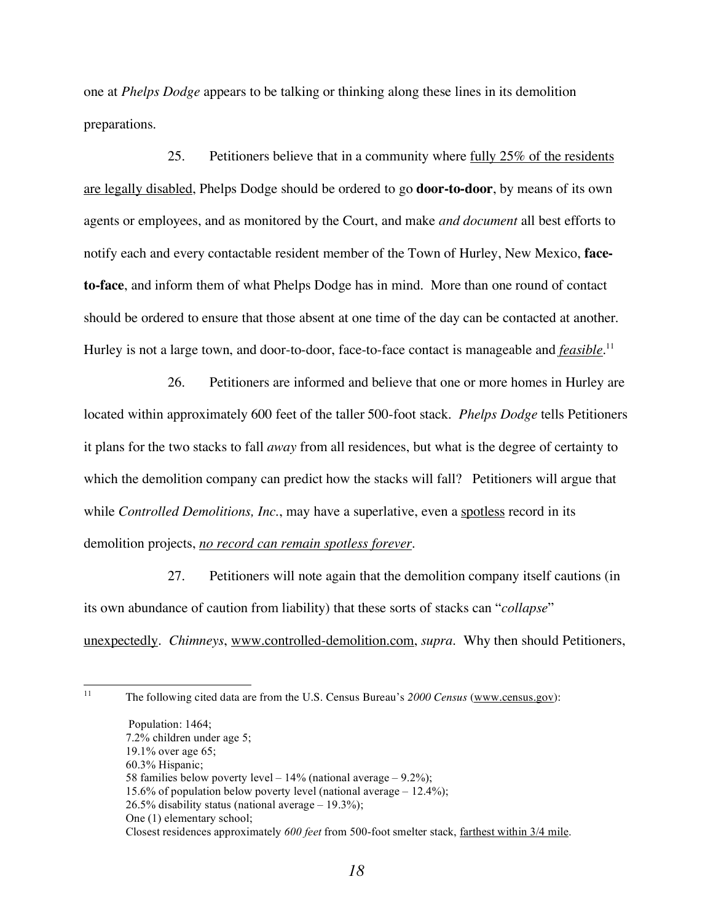one at *Phelps Dodge* appears to be talking or thinking along these lines in its demolition preparations.

25. Petitioners believe that in a community where fully 25% of the residents are legally disabled, Phelps Dodge should be ordered to go **door-to-door**, by means of its own agents or employees, and as monitored by the Court, and make *and document* all best efforts to notify each and every contactable resident member of the Town of Hurley, New Mexico, **faceto-face**, and inform them of what Phelps Dodge has in mind. More than one round of contact should be ordered to ensure that those absent at one time of the day can be contacted at another. Hurley is not a large town, and door-to-door, face-to-face contact is manageable and *feasible*.<sup>11</sup>

26. Petitioners are informed and believe that one or more homes in Hurley are located within approximately 600 feet of the taller 500-foot stack. *Phelps Dodge* tells Petitioners it plans for the two stacks to fall *away* from all residences, but what is the degree of certainty to which the demolition company can predict how the stacks will fall? Petitioners will argue that while *Controlled Demolitions, Inc*., may have a superlative, even a spotless record in its demolition projects, *no record can remain spotless forever*.

27. Petitioners will note again that the demolition company itself cautions (in its own abundance of caution from liability) that these sorts of stacks can "*collapse*" unexpectedly. *Chimneys*, www.controlled-demolition.com, *supra*. Why then should Petitioners,

11 The following cited data are from the U.S. Census Bureau's *<sup>2000</sup> Census* (www.census.gov):

Population: 1464;

<sup>7.2%</sup> children under age 5;

<sup>19.1%</sup> over age 65;

<sup>60.3%</sup> Hispanic;

<sup>58</sup> families below poverty level  $-14\%$  (national average  $-9.2\%$ );

<sup>15.6%</sup> of population below poverty level (national average – 12.4%);

 $26.5\%$  disability status (national average  $-19.3\%$ );

One (1) elementary school;

Closest residences approximately *600 feet* from 500-foot smelter stack, farthest within 3/4 mile.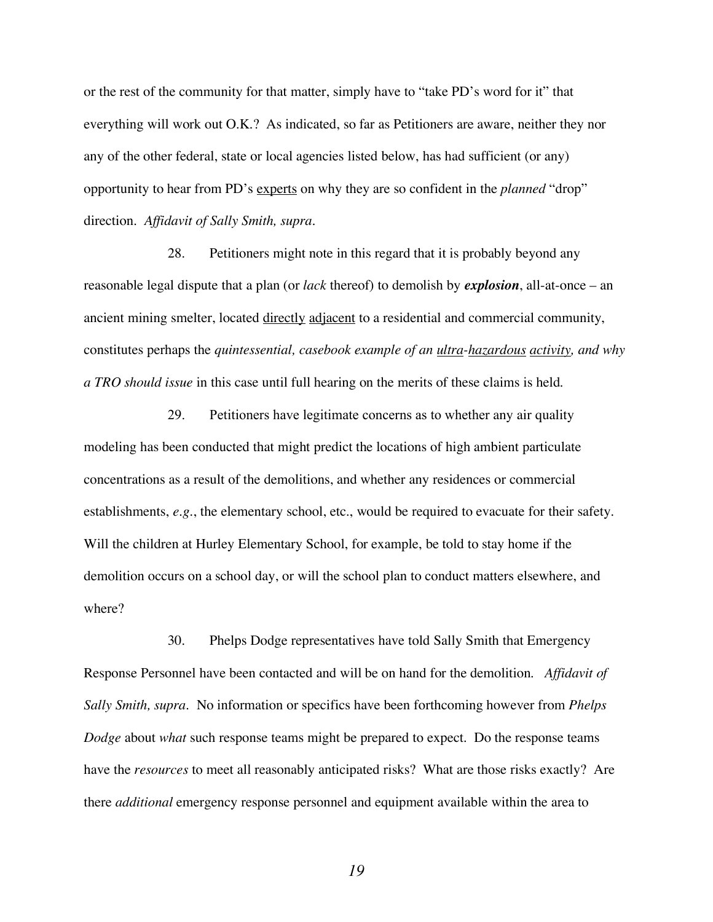or the rest of the community for that matter, simply have to "take PD's word for it" that everything will work out O.K.? As indicated, so far as Petitioners are aware, neither they nor any of the other federal, state or local agencies listed below, has had sufficient (or any) opportunity to hear from PD's experts on why they are so confident in the *planned* "drop" direction. *Affidavit of Sally Smith, supra*.

28. Petitioners might note in this regard that it is probably beyond any reasonable legal dispute that a plan (or *lack* thereof) to demolish by *explosion*, all-at-once – an ancient mining smelter, located directly adjacent to a residential and commercial community, constitutes perhaps the *quintessential, casebook example of an ultra-hazardous activity, and why a TRO should issue* in this case until full hearing on the merits of these claims is held.

29. Petitioners have legitimate concerns as to whether any air quality modeling has been conducted that might predict the locations of high ambient particulate concentrations as a result of the demolitions, and whether any residences or commercial establishments, *e.g*., the elementary school, etc., would be required to evacuate for their safety. Will the children at Hurley Elementary School, for example, be told to stay home if the demolition occurs on a school day, or will the school plan to conduct matters elsewhere, and where?

30. Phelps Dodge representatives have told Sally Smith that Emergency Response Personnel have been contacted and will be on hand for the demolition. *Affidavit of Sally Smith, supra.* No information or specifics have been forthcoming however from *Phelps Dodge* about *what* such response teams might be prepared to expect. Do the response teams have the *resources* to meet all reasonably anticipated risks? What are those risks exactly? Are there *additional* emergency response personnel and equipment available within the area to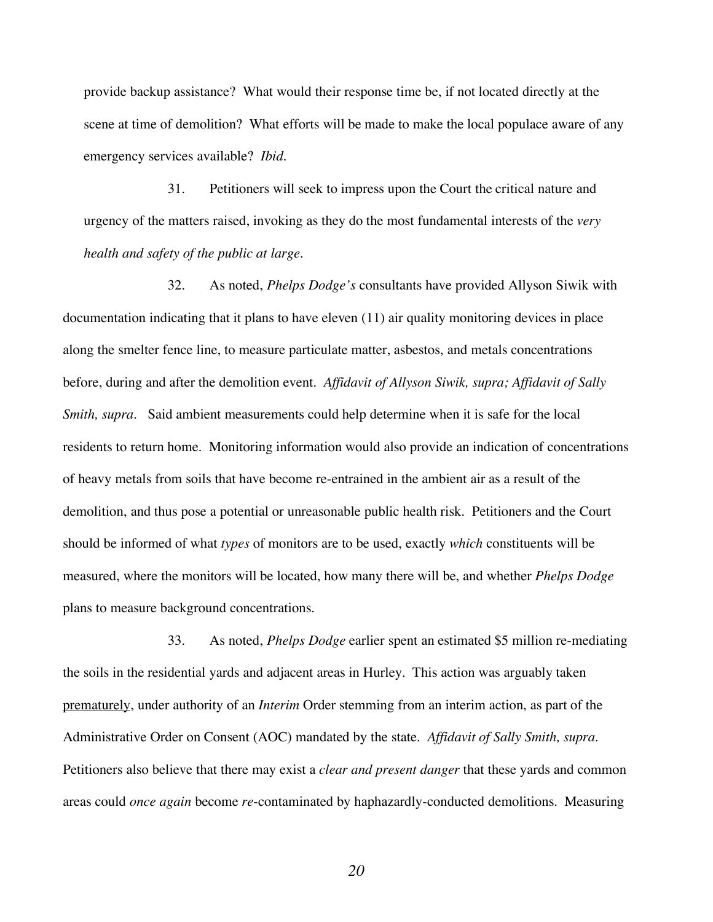provide backup assistance? What would their response time be, if not located directly at the scene at time of demolition? What efforts will be made to make the local populace aware of any emergency services available? *Ibid.*

31. Petitioners will seek to impress upon the Court the critical nature and urgency of the matters raised, invoking as they do the most fundamental interests of the *very health and safety of the public at large*.

32. As noted, *Phelps Dodge's* consultants have provided Allyson Siwik with documentation indicating that it plans to have eleven (11) air quality monitoring devices in place along the smelter fence line, to measure particulate matter, asbestos, and metals concentrations before, during and after the demolition event. *Affidavit of Allyson Siwik, supra; Affidavit of Sally Smith, supra.* Said ambient measurements could help determine when it is safe for the local residents to return home. Monitoring information would also provide an indication of concentrations of heavy metals from soils that have become re-entrained in the ambient air as a result of the demolition, and thus pose a potential or unreasonable public health risk. Petitioners and the Court should be informed of what *types* of monitors are to be used, exactly *which* constituents will be measured, where the monitors will be located, how many there will be, and whether *Phelps Dodge* plans to measure background concentrations.

33. As noted, *Phelps Dodge* earlier spent an estimated \$5 million re-mediating the soils in the residential yards and adjacent areas in Hurley. This action was arguably taken prematurely, under authority of an *Interim* Order stemming from an interim action, as part of the Administrative Order on Consent (AOC) mandated by the state. *Affidavit of Sally Smith, supra.* Petitioners also believe that there may exist a *clear and present danger* that these yards and common areas could *once again* become *re*-contaminated by haphazardly-conducted demolitions. Measuring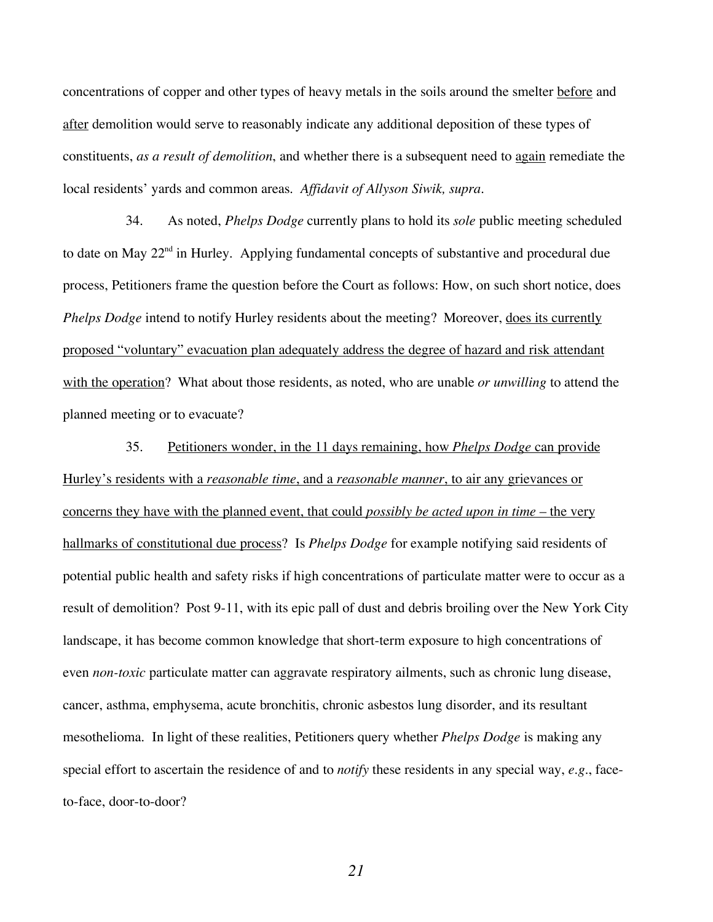concentrations of copper and other types of heavy metals in the soils around the smelter before and after demolition would serve to reasonably indicate any additional deposition of these types of constituents, *as a result of demolition*, and whether there is a subsequent need to again remediate the local residents' yards and common areas. *Affidavit of Allyson Siwik, supra.*

34. As noted, *Phelps Dodge* currently plans to hold its *sole* public meeting scheduled to date on May 22<sup>nd</sup> in Hurley. Applying fundamental concepts of substantive and procedural due process, Petitioners frame the question before the Court as follows: How, on such short notice, does *Phelps Dodge* intend to notify Hurley residents about the meeting? Moreover, does its currently proposed "voluntary" evacuation plan adequately address the degree of hazard and risk attendant with the operation? What about those residents, as noted, who are unable *or unwilling* to attend the planned meeting or to evacuate?

35. Petitioners wonder, in the 11 days remaining, how *Phelps Dodge* can provide Hurley's residents with a *reasonable time*, and a *reasonable manner*, to air any grievances or concerns they have with the planned event, that could *possibly be acted upon in time* – the very hallmarks of constitutional due process? Is *Phelps Dodge* for example notifying said residents of potential public health and safety risks if high concentrations of particulate matter were to occur as a result of demolition? Post 9-11, with its epic pall of dust and debris broiling over the New York City landscape, it has become common knowledge that short-term exposure to high concentrations of even *non-toxic* particulate matter can aggravate respiratory ailments, such as chronic lung disease, cancer, asthma, emphysema, acute bronchitis, chronic asbestos lung disorder, and its resultant mesothelioma. In light of these realities, Petitioners query whether *Phelps Dodge* is making any special effort to ascertain the residence of and to *notify* these residents in any special way, *e.g*., faceto-face, door-to-door?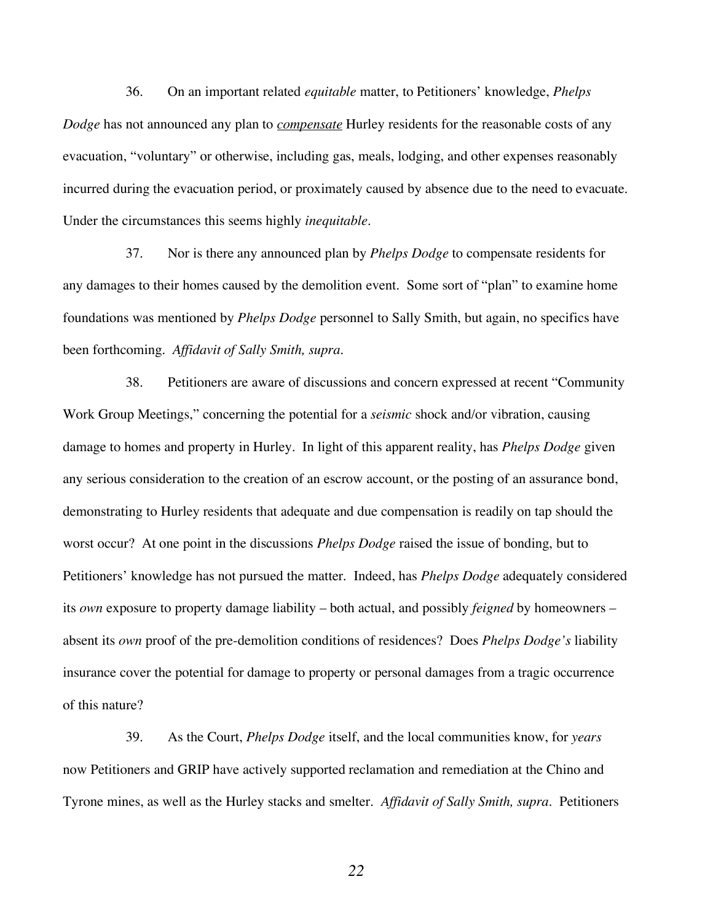36. On an important related *equitable* matter, to Petitioners' knowledge, *Phelps Dodge* has not announced any plan to *compensate* Hurley residents for the reasonable costs of any evacuation, "voluntary" or otherwise, including gas, meals, lodging, and other expenses reasonably incurred during the evacuation period, or proximately caused by absence due to the need to evacuate. Under the circumstances this seems highly *inequitable*.

37. Nor is there any announced plan by *Phelps Dodge* to compensate residents for any damages to their homes caused by the demolition event. Some sort of "plan" to examine home foundations was mentioned by *Phelps Dodge* personnel to Sally Smith, but again, no specifics have been forthcoming. *Affidavit of Sally Smith, supra.*

38. Petitioners are aware of discussions and concern expressed at recent "Community Work Group Meetings," concerning the potential for a *seismic* shock and/or vibration, causing damage to homes and property in Hurley. In light of this apparent reality, has *Phelps Dodge* given any serious consideration to the creation of an escrow account, or the posting of an assurance bond, demonstrating to Hurley residents that adequate and due compensation is readily on tap should the worst occur? At one point in the discussions *Phelps Dodge* raised the issue of bonding, but to Petitioners' knowledge has not pursued the matter. Indeed, has *Phelps Dodge* adequately considered its *own* exposure to property damage liability – both actual, and possibly *feigned* by homeowners – absent its *own* proof of the pre-demolition conditions of residences? Does *Phelps Dodge's* liability insurance cover the potential for damage to property or personal damages from a tragic occurrence of this nature?

39. As the Court, *Phelps Dodge* itself, and the local communities know, for *years* now Petitioners and GRIP have actively supported reclamation and remediation at the Chino and Tyrone mines, as well as the Hurley stacks and smelter. *Affidavit of Sally Smith, supra.* Petitioners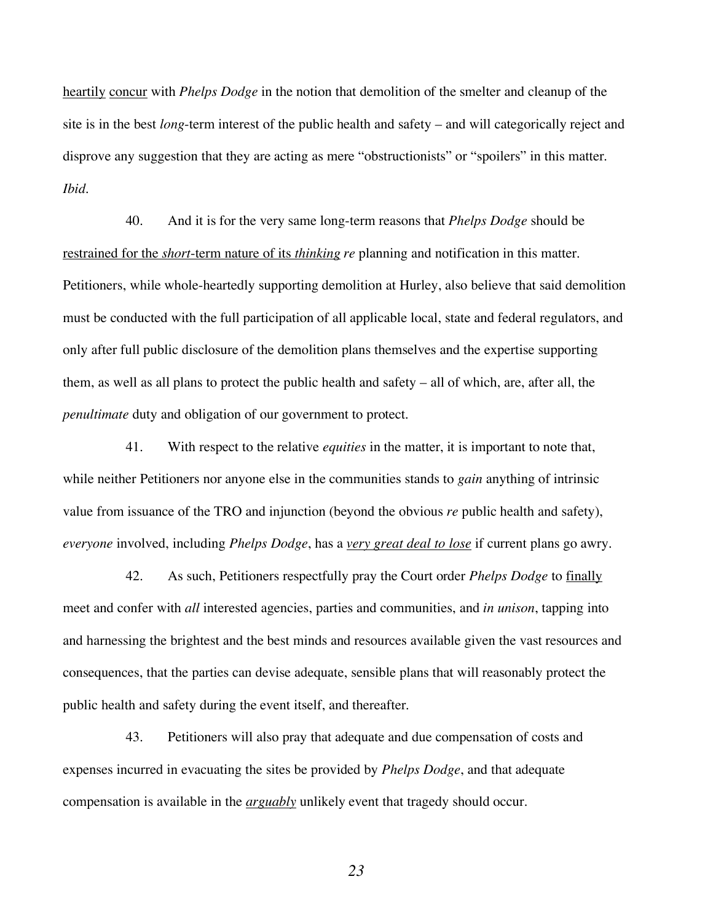heartily concur with *Phelps Dodge* in the notion that demolition of the smelter and cleanup of the site is in the best *long*-term interest of the public health and safety – and will categorically reject and disprove any suggestion that they are acting as mere "obstructionists" or "spoilers" in this matter. *Ibid*.

40. And it is for the very same long-term reasons that *Phelps Dodge* should be restrained for the *short*-term nature of its *thinking re* planning and notification in this matter. Petitioners, while whole-heartedly supporting demolition at Hurley, also believe that said demolition must be conducted with the full participation of all applicable local, state and federal regulators, and only after full public disclosure of the demolition plans themselves and the expertise supporting them, as well as all plans to protect the public health and safety – all of which, are, after all, the *penultimate* duty and obligation of our government to protect.

41. With respect to the relative *equities* in the matter, it is important to note that, while neither Petitioners nor anyone else in the communities stands to *gain* anything of intrinsic value from issuance of the TRO and injunction (beyond the obvious *re* public health and safety), *everyone* involved, including *Phelps Dodge*, has a *very great deal to lose* if current plans go awry.

42. As such, Petitioners respectfully pray the Court order *Phelps Dodge* to finally meet and confer with *all* interested agencies, parties and communities, and *in unison*, tapping into and harnessing the brightest and the best minds and resources available given the vast resources and consequences, that the parties can devise adequate, sensible plans that will reasonably protect the public health and safety during the event itself, and thereafter.

43. Petitioners will also pray that adequate and due compensation of costs and expenses incurred in evacuating the sites be provided by *Phelps Dodge*, and that adequate compensation is available in the *arguably* unlikely event that tragedy should occur.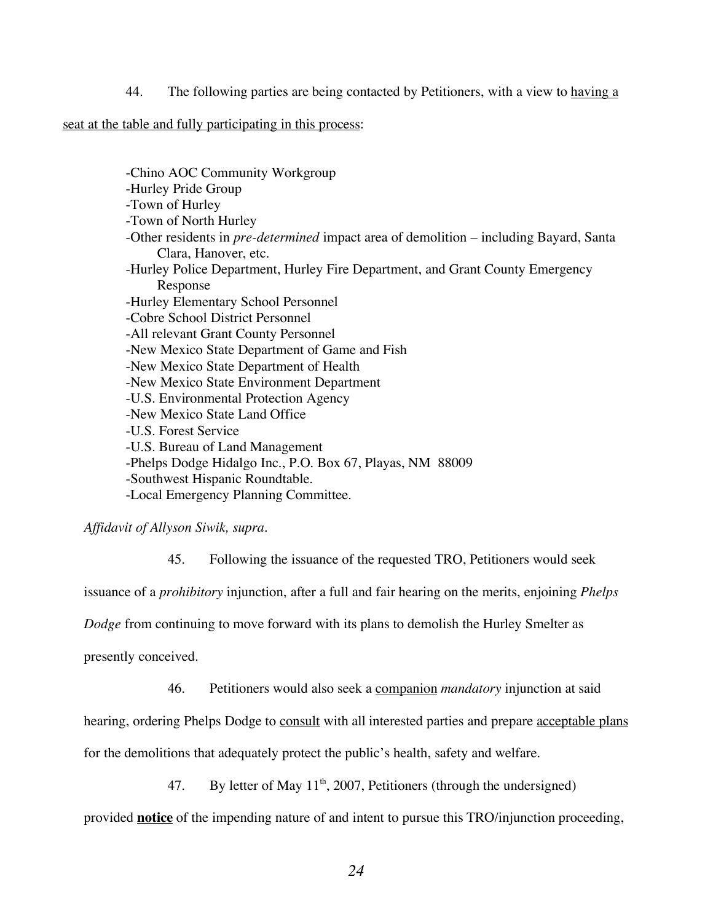44. The following parties are being contacted by Petitioners, with a view to having a

seat at the table and fully participating in this process:

-Chino AOC Community Workgroup -Hurley Pride Group -Town of Hurley -Town of North Hurley -Other residents in *pre-determined* impact area of demolition – including Bayard, Santa Clara, Hanover, etc. -Hurley Police Department, Hurley Fire Department, and Grant County Emergency Response -Hurley Elementary School Personnel -Cobre School District Personnel -All relevant Grant County Personnel -New Mexico State Department of Game and Fish -New Mexico State Department of Health -New Mexico State Environment Department -U.S. Environmental Protection Agency -New Mexico State Land Office -U.S. Forest Service -U.S. Bureau of Land Management -Phelps Dodge Hidalgo Inc., P.O. Box 67, Playas, NM 88009 -Southwest Hispanic Roundtable. -Local Emergency Planning Committee.

*Affidavit of Allyson Siwik, supra.*

45. Following the issuance of the requested TRO, Petitioners would seek

issuance of a *prohibitory* injunction, after a full and fair hearing on the merits, enjoining *Phelps*

*Dodge* from continuing to move forward with its plans to demolish the Hurley Smelter as

presently conceived.

46. Petitioners would also seek a companion *mandatory* injunction at said

hearing, ordering Phelps Dodge to consult with all interested parties and prepare acceptable plans

for the demolitions that adequately protect the public's health, safety and welfare.

47. By letter of May  $11<sup>th</sup>$ , 2007, Petitioners (through the undersigned)

provided **notice** of the impending nature of and intent to pursue this TRO/injunction proceeding,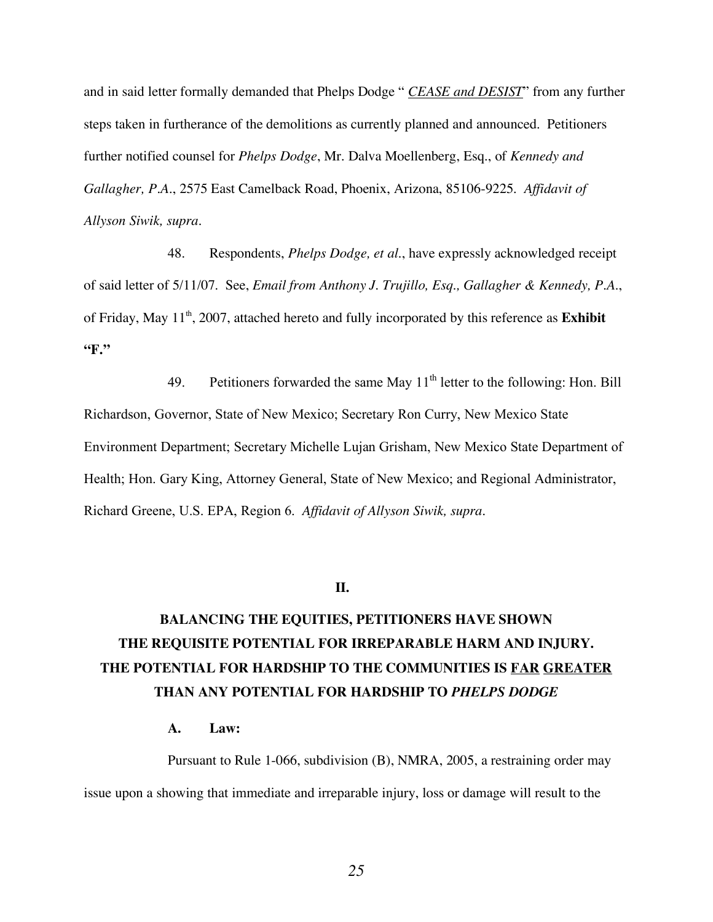and in said letter formally demanded that Phelps Dodge " *CEASE and DESIST*" from any further steps taken in furtherance of the demolitions as currently planned and announced. Petitioners further notified counsel for *Phelps Dodge*, Mr. Dalva Moellenberg, Esq., of *Kennedy and Gallagher, P.A*., 2575 East Camelback Road, Phoenix, Arizona, 85106-9225. *Affidavit of Allyson Siwik, supra.*

48. Respondents, *Phelps Dodge, et al*., have expressly acknowledged receipt of said letter of 5/11/07. See, *Email from Anthony J. Trujillo, Esq., Gallagher & Kennedy, P.A*., of Friday, May 11<sup>th</sup>, 2007, attached hereto and fully incorporated by this reference as Exhibit **"F."**

49. Petitioners forwarded the same May  $11<sup>th</sup>$  letter to the following: Hon. Bill Richardson, Governor, State of New Mexico; Secretary Ron Curry, New Mexico State Environment Department; Secretary Michelle Lujan Grisham, New Mexico State Department of Health; Hon. Gary King, Attorney General, State of New Mexico; and Regional Administrator, Richard Greene, U.S. EPA, Region 6. *Affidavit of Allyson Siwik, supra.*

**II.**

# **BALANCING THE EQUITIES, PETITIONERS HAVE SHOWN THE REQUISITE POTENTIAL FOR IRREPARABLE HARM AND INJURY. THE POTENTIAL FOR HARDSHIP TO THE COMMUNITIES IS FAR GREATER THAN ANY POTENTIAL FOR HARDSHIP TO** *PHELPS DODGE*

#### **A. Law:**

Pursuant to Rule 1-066, subdivision (B), NMRA, 2005, a restraining order may issue upon a showing that immediate and irreparable injury, loss or damage will result to the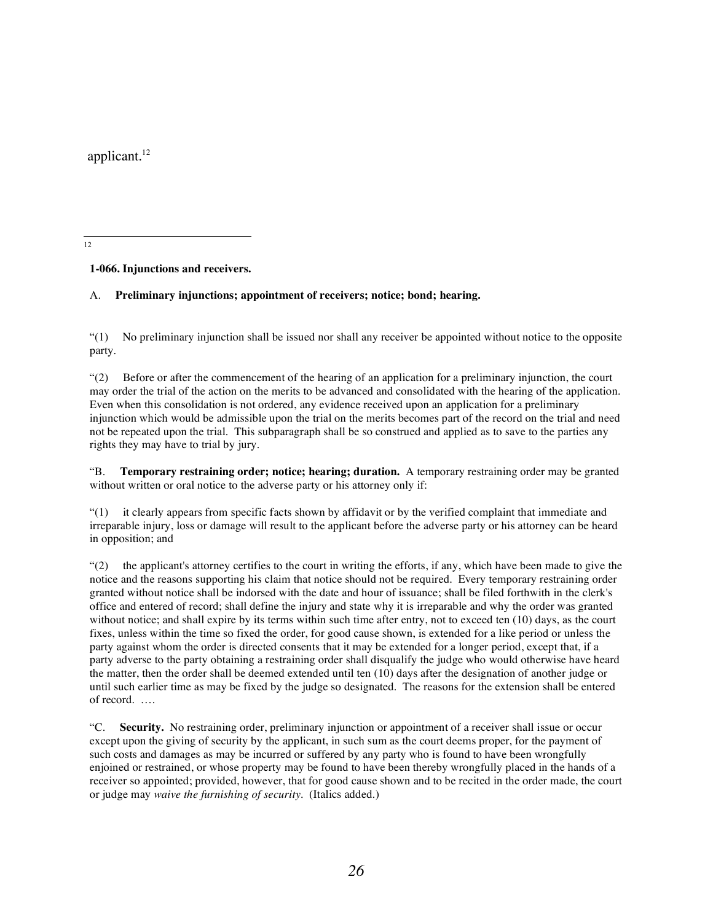applicant.<sup>12</sup>

12

**1-066. Injunctions and receivers.**

#### A. **Preliminary injunctions; appointment of receivers; notice; bond; hearing.**

"(1) No preliminary injunction shall be issued nor shall any receiver be appointed without notice to the opposite party.

"(2) Before or after the commencement of the hearing of an application for a preliminary injunction, the court may order the trial of the action on the merits to be advanced and consolidated with the hearing of the application. Even when this consolidation is not ordered, any evidence received upon an application for a preliminary injunction which would be admissible upon the trial on the merits becomes part of the record on the trial and need not be repeated upon the trial. This subparagraph shall be so construed and applied as to save to the parties any rights they may have to trial by jury.

"B. **Temporary restraining order; notice; hearing; duration.** A temporary restraining order may be granted without written or oral notice to the adverse party or his attorney only if:

"(1) it clearly appears from specific facts shown by affidavit or by the verified complaint that immediate and irreparable injury, loss or damage will result to the applicant before the adverse party or his attorney can be heard in opposition; and

"(2) the applicant's attorney certifies to the court in writing the efforts, if any, which have been made to give the notice and the reasons supporting his claim that notice should not be required. Every temporary restraining order granted without notice shall be indorsed with the date and hour of issuance; shall be filed forthwith in the clerk's office and entered of record; shall define the injury and state why it is irreparable and why the order was granted without notice; and shall expire by its terms within such time after entry, not to exceed ten (10) days, as the court fixes, unless within the time so fixed the order, for good cause shown, is extended for a like period or unless the party against whom the order is directed consents that it may be extended for a longer period, except that, if a party adverse to the party obtaining a restraining order shall disqualify the judge who would otherwise have heard the matter, then the order shall be deemed extended until ten (10) days after the designation of another judge or until such earlier time as may be fixed by the judge so designated. The reasons for the extension shall be entered of record. ….

"C. **Security.** No restraining order, preliminary injunction or appointment of a receiver shall issue or occur except upon the giving of security by the applicant, in such sum as the court deems proper, for the payment of such costs and damages as may be incurred or suffered by any party who is found to have been wrongfully enjoined or restrained, or whose property may be found to have been thereby wrongfully placed in the hands of a receiver so appointed; provided, however, that for good cause shown and to be recited in the order made, the court or judge may *waive the furnishing of security*. (Italics added.)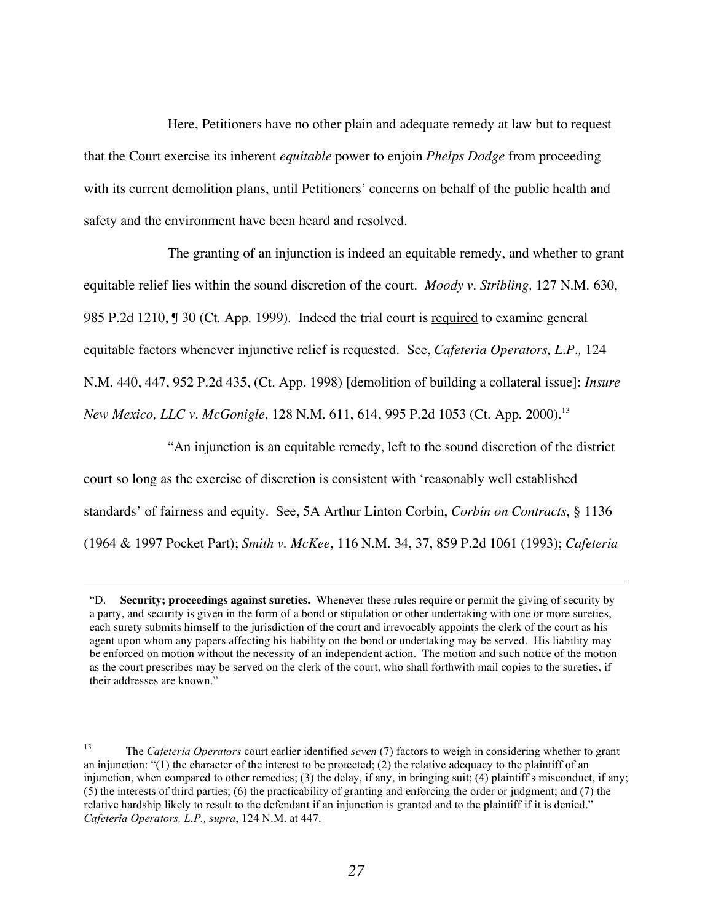Here, Petitioners have no other plain and adequate remedy at law but to request that the Court exercise its inherent *equitable* power to enjoin *Phelps Dodge* from proceeding with its current demolition plans, until Petitioners' concerns on behalf of the public health and safety and the environment have been heard and resolved.

The granting of an injunction is indeed an equitable remedy, and whether to grant equitable relief lies within the sound discretion of the court. *Moody v. Stribling,* 127 N.M. 630, 985 P.2d 1210, J 30 (Ct. App. 1999). Indeed the trial court is required to examine general equitable factors whenever injunctive relief is requested. See, *Cafeteria Operators, L.P.,* 124 N.M. 440, 447, 952 P.2d 435, (Ct. App. 1998) [demolition of building a collateral issue]; *Insure New Mexico, LLC v. McGonigle*, 128 N.M. 611, 614, 995 P.2d 1053 (Ct. App. 2000). 13

"An injunction is an equitable remedy, left to the sound discretion of the district court so long as the exercise of discretion is consistent with 'reasonably well established standards' of fairness and equity. See, 5A Arthur Linton Corbin, *Corbin on Contracts*, § 1136 (1964 & 1997 Pocket Part); *Smith v. McKee*, 116 N.M. 34, 37, 859 P.2d 1061 (1993); *Cafeteria* 

 $\overline{a}$ 

<sup>&</sup>quot;D. **Security; proceedings against sureties.** Whenever these rules require or permit the giving of security by a party, and security is given in the form of a bond or stipulation or other undertaking with one or more sureties, each surety submits himself to the jurisdiction of the court and irrevocably appoints the clerk of the court as his agent upon whom any papers affecting his liability on the bond or undertaking may be served. His liability may be enforced on motion without the necessity of an independent action. The motion and such notice of the motion as the court prescribes may be served on the clerk of the court, who shall forthwith mail copies to the sureties, if their addresses are known."

<sup>13</sup> The *Cafeteria Operators* court earlier identified *seven* (7) factors to weigh in considering whether to grant an injunction: "(1) the character of the interest to be protected; (2) the relative adequacy to the plaintiff of an injunction, when compared to other remedies; (3) the delay, if any, in bringing suit; (4) plaintiff's misconduct, if any; (5) the interests of third parties; (6) the practicability of granting and enforcing the order or judgment; and (7) the relative hardship likely to result to the defendant if an injunction is granted and to the plaintiff if it is denied." *Cafeteria Operators, L.P., supra*, 124 N.M. at 447.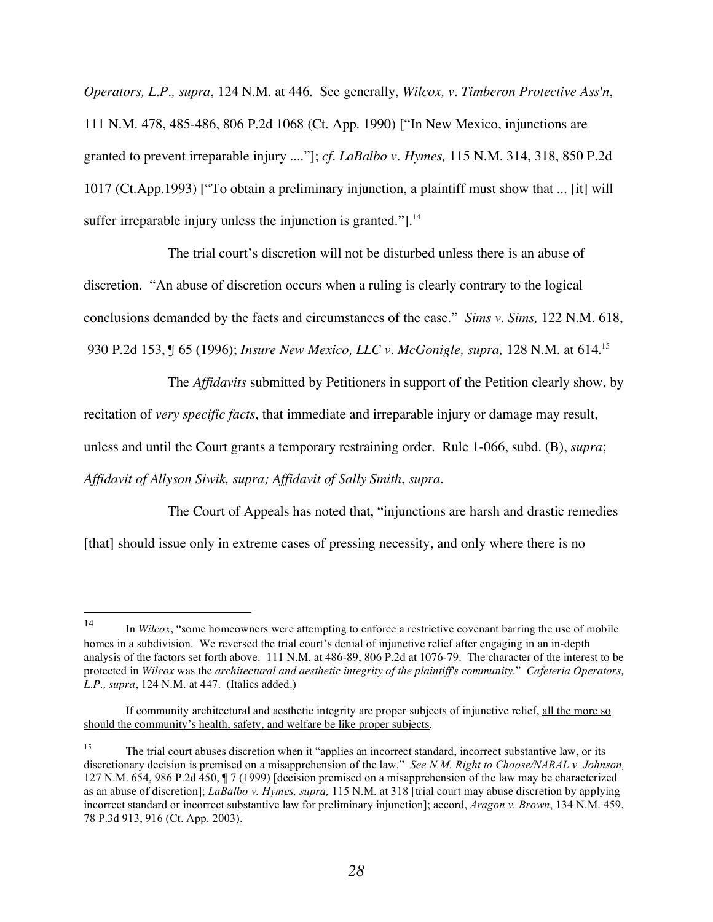*Operators, L.P., supra*, 124 N.M. at 446. See generally, *Wilcox, v. Timberon Protective Ass'n*, 111 N.M. 478, 485-486, 806 P.2d 1068 (Ct. App. 1990) ["In New Mexico, injunctions are granted to prevent irreparable injury ...."]; *cf. LaBalbo v. Hymes,* 115 N.M. 314, 318, 850 P.2d 1017 (Ct.App.1993) ["To obtain a preliminary injunction, a plaintiff must show that ... [it] will suffer irreparable injury unless the injunction is granted."].<sup>14</sup>

The trial court's discretion will not be disturbed unless there is an abuse of discretion. "An abuse of discretion occurs when a ruling is clearly contrary to the logical conclusions demanded by the facts and circumstances of the case." *Sims v. Sims,* 122 N.M. 618, 930 P.2d 153, ¶ 65 (1996); *Insure New Mexico, LLC v. McGonigle, supra,* 128 N.M. at 614. 15

The *Affidavits* submitted by Petitioners in support of the Petition clearly show, by recitation of *very specific facts*, that immediate and irreparable injury or damage may result, unless and until the Court grants a temporary restraining order. Rule 1-066, subd. (B), *supra*; *Affidavit of Allyson Siwik, supra; Affidavit of Sally Smith*, *supra*.

The Court of Appeals has noted that, "injunctions are harsh and drastic remedies [that] should issue only in extreme cases of pressing necessity, and only where there is no

 $\overline{a}$ 

<sup>14</sup> In *Wilcox*, "some homeowners were attempting to enforce <sup>a</sup> restrictive covenant barring the use of mobile homes in a subdivision. We reversed the trial court's denial of injunctive relief after engaging in an in-depth analysis of the factors set forth above. 111 N.M. at 486-89, 806 P.2d at 1076-79. The character of the interest to be protected in *Wilcox* was the *architectural and aesthetic integrity of the plaintiff's community*." *Cafeteria Operators, L.P., supra*, 124 N.M. at 447. (Italics added.)

If community architectural and aesthetic integrity are proper subjects of injunctive relief, all the more so should the community's health, safety, and welfare be like proper subjects.

<sup>&</sup>lt;sup>15</sup> The trial court abuses discretion when it "applies an incorrect standard, incorrect substantive law, or its discretionary decision is premised on a misapprehension of the law." *See N.M. Right to Choose/NARAL v. Johnson,* 127 N.M. 654, 986 P.2d 450, ¶ 7 (1999) [decision premised on a misapprehension of the law may be characterized as an abuse of discretion]; *LaBalbo v. Hymes, supra,* 115 N.M. at 318 [trial court may abuse discretion by applying incorrect standard or incorrect substantive law for preliminary injunction]; accord, *Aragon v. Brown*, 134 N.M. 459, 78 P.3d 913, 916 (Ct. App. 2003).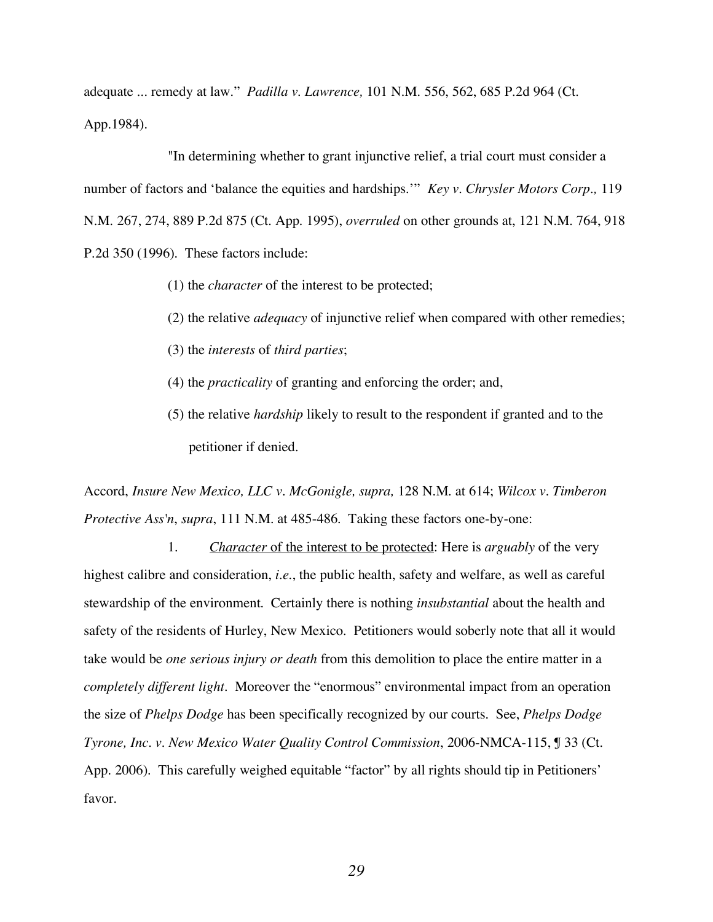adequate ... remedy at law." *Padilla v. Lawrence,* 101 N.M. 556, 562, 685 P.2d 964 (Ct. App.1984).

"In determining whether to grant injunctive relief, a trial court must consider a number of factors and 'balance the equities and hardships.'" *Key v. Chrysler Motors Corp.,* 119 N.M. 267, 274, 889 P.2d 875 (Ct. App. 1995), *overruled* on other grounds at, 121 N.M. 764, 918 P.2d 350 (1996). These factors include:

- (1) the *character* of the interest to be protected;
- (2) the relative *adequacy* of injunctive relief when compared with other remedies;
- (3) the *interests* of *third parties*;
- (4) the *practicality* of granting and enforcing the order; and,
- (5) the relative *hardship* likely to result to the respondent if granted and to the petitioner if denied.

Accord, *Insure New Mexico, LLC v. McGonigle, supra,* 128 N.M. at 614; *Wilcox v. Timberon Protective Ass'n*, *supra*, 111 N.M. at 485-486. Taking these factors one-by-one:

1. *Character* of the interest to be protected: Here is *arguably* of the very highest calibre and consideration, *i.e*., the public health, safety and welfare, as well as careful stewardship of the environment. Certainly there is nothing *insubstantial* about the health and safety of the residents of Hurley, New Mexico. Petitioners would soberly note that all it would take would be *one serious injury or death* from this demolition to place the entire matter in a *completely different light*. Moreover the "enormous" environmental impact from an operation the size of *Phelps Dodge* has been specifically recognized by our courts. See, *Phelps Dodge Tyrone, Inc. v. New Mexico Water Quality Control Commission*, 2006-NMCA-115, ¶ 33 (Ct. App. 2006). This carefully weighed equitable "factor" by all rights should tip in Petitioners' favor.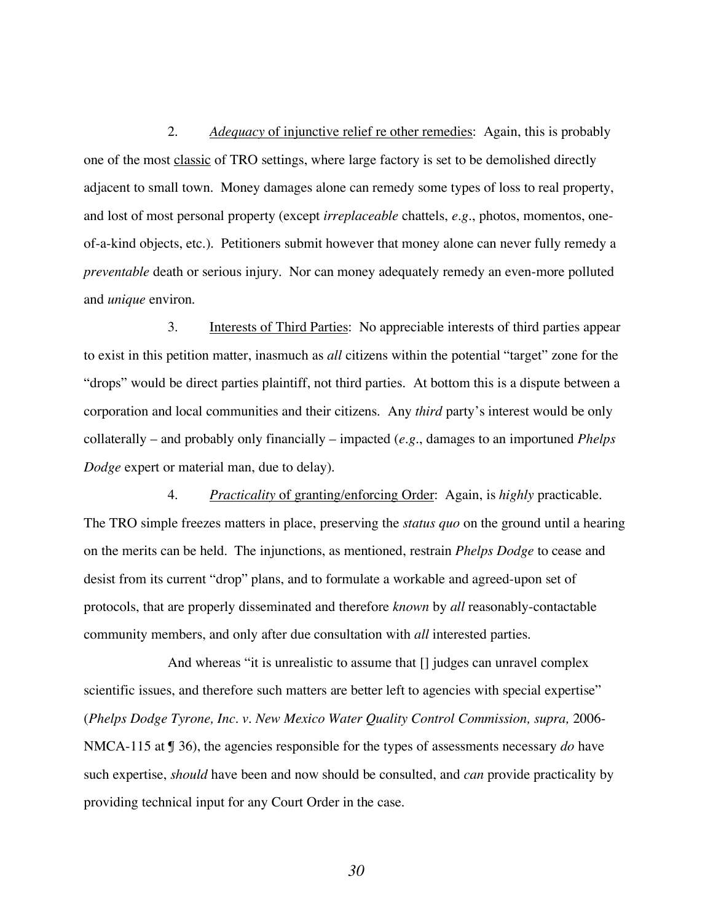2. *Adequacy* of injunctive relief re other remedies: Again, this is probably one of the most classic of TRO settings, where large factory is set to be demolished directly adjacent to small town. Money damages alone can remedy some types of loss to real property, and lost of most personal property (except *irreplaceable* chattels, *e.g*., photos, momentos, oneof-a-kind objects, etc.). Petitioners submit however that money alone can never fully remedy a *preventable* death or serious injury. Nor can money adequately remedy an even-more polluted and *unique* environ.

3. Interests of Third Parties: No appreciable interests of third parties appear to exist in this petition matter, inasmuch as *all* citizens within the potential "target" zone for the "drops" would be direct parties plaintiff, not third parties. At bottom this is a dispute between a corporation and local communities and their citizens. Any *third* party's interest would be only collaterally – and probably only financially – impacted (*e.g*., damages to an importuned *Phelps Dodge* expert or material man, due to delay).

4. *Practicality* of granting/enforcing Order: Again, is *highly* practicable. The TRO simple freezes matters in place, preserving the *status quo* on the ground until a hearing on the merits can be held. The injunctions, as mentioned, restrain *Phelps Dodge* to cease and desist from its current "drop" plans, and to formulate a workable and agreed-upon set of protocols, that are properly disseminated and therefore *known* by *all* reasonably-contactable community members, and only after due consultation with *all* interested parties.

And whereas "it is unrealistic to assume that  $\iint$  judges can unravel complex scientific issues, and therefore such matters are better left to agencies with special expertise" (*Phelps Dodge Tyrone, Inc. v. New Mexico Water Quality Control Commission, supra,* 2006- NMCA-115 at ¶ 36), the agencies responsible for the types of assessments necessary *do* have such expertise, *should* have been and now should be consulted, and *can* provide practicality by providing technical input for any Court Order in the case.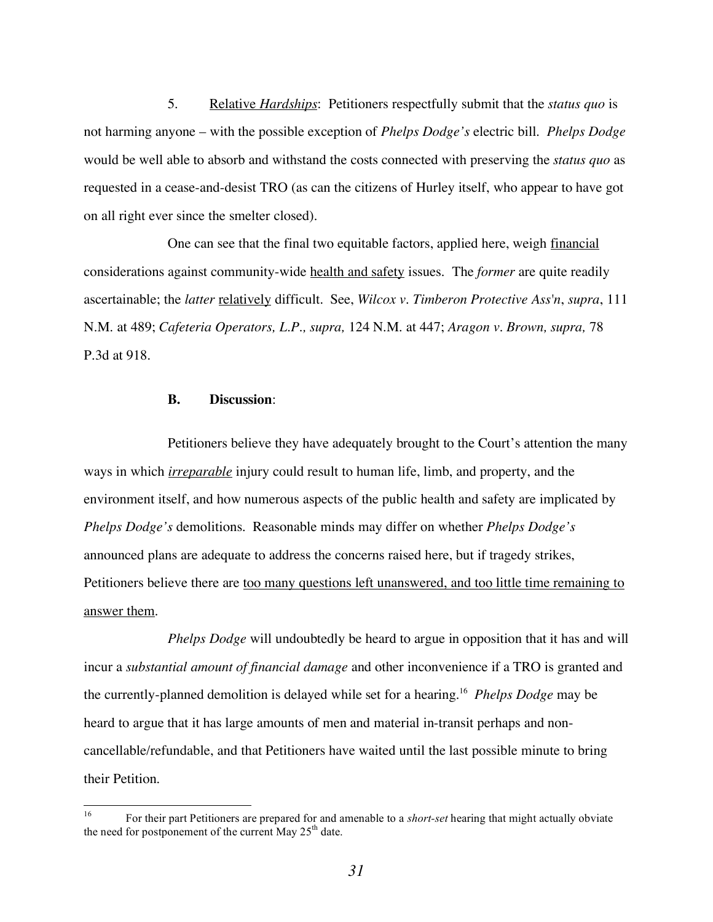5. Relative *Hardships*: Petitioners respectfully submit that the *status quo* is not harming anyone – with the possible exception of *Phelps Dodge's* electric bill. *Phelps Dodge* would be well able to absorb and withstand the costs connected with preserving the *status quo* as requested in a cease-and-desist TRO (as can the citizens of Hurley itself, who appear to have got on all right ever since the smelter closed).

One can see that the final two equitable factors, applied here, weigh financial considerations against community-wide health and safety issues. The *former* are quite readily ascertainable; the *latter* relatively difficult. See, *Wilcox v. Timberon Protective Ass'n*, *supra*, 111 N.M. at 489; *Cafeteria Operators, L.P., supra,* 124 N.M. at 447; *Aragon v. Brown, supra,* 78 P.3d at 918.

## **B. Discussion**:

Petitioners believe they have adequately brought to the Court's attention the many ways in which *irreparable* injury could result to human life, limb, and property, and the environment itself, and how numerous aspects of the public health and safety are implicated by *Phelps Dodge's* demolitions. Reasonable minds may differ on whether *Phelps Dodge's* announced plans are adequate to address the concerns raised here, but if tragedy strikes, Petitioners believe there are too many questions left unanswered, and too little time remaining to answer them.

*Phelps Dodge* will undoubtedly be heard to argue in opposition that it has and will incur a *substantial amount of financial damage* and other inconvenience if a TRO is granted and the currently-planned demolition is delayed while set for a hearing. <sup>16</sup> *Phelps Dodge* may be heard to argue that it has large amounts of men and material in-transit perhaps and noncancellable/refundable, and that Petitioners have waited until the last possible minute to bring their Petition.

 <sup>16</sup> For their part Petitioners are prepared for and amenable to <sup>a</sup> *short-set* hearing that might actually obviate the need for postponement of the current May  $25<sup>th</sup>$  date.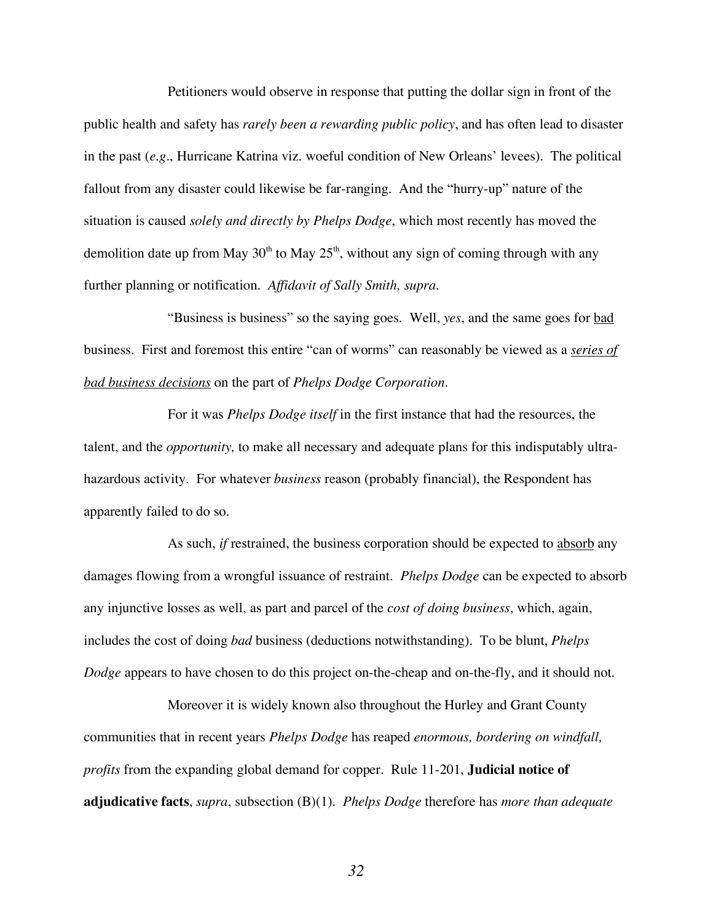Petitioners would observe in response that putting the dollar sign in front of the public health and safety has *rarely been a rewarding public policy*, and has often lead to disaster in the past (*e.g*., Hurricane Katrina viz. woeful condition of New Orleans' levees). The political fallout from any disaster could likewise be far-ranging. And the "hurry-up" nature of the situation is caused *solely and directly by Phelps Dodge*, which most recently has moved the demolition date up from May  $30<sup>th</sup>$  to May  $25<sup>th</sup>$ , without any sign of coming through with any further planning or notification. *Affidavit of Sally Smith, supra*.

"Business is business" so the saying goes. Well, *yes*, and the same goes for bad business. First and foremost this entire "can of worms" can reasonably be viewed as a *series of bad business decisions* on the part of *Phelps Dodge Corporation*.

For it was *Phelps Dodge itself* in the first instance that had the resources, the talent, and the *opportunity,* to make all necessary and adequate plans for this indisputably ultrahazardous activity. For whatever *business* reason (probably financial), the Respondent has apparently failed to do so.

As such, *if* restrained, the business corporation should be expected to absorb any damages flowing from a wrongful issuance of restraint. *Phelps Dodge* can be expected to absorb any injunctive losses as well, as part and parcel of the *cost of doing business*, which, again, includes the cost of doing *bad* business (deductions notwithstanding). To be blunt, *Phelps Dodge* appears to have chosen to do this project on-the-cheap and on-the-fly, and it should not.

Moreover it is widely known also throughout the Hurley and Grant County communities that in recent years *Phelps Dodge* has reaped *enormous, bordering on windfall, profits* from the expanding global demand for copper. Rule 11-201, **Judicial notice of adjudicative facts**, *supra*, subsection (B)(1). *Phelps Dodge* therefore has *more than adequate*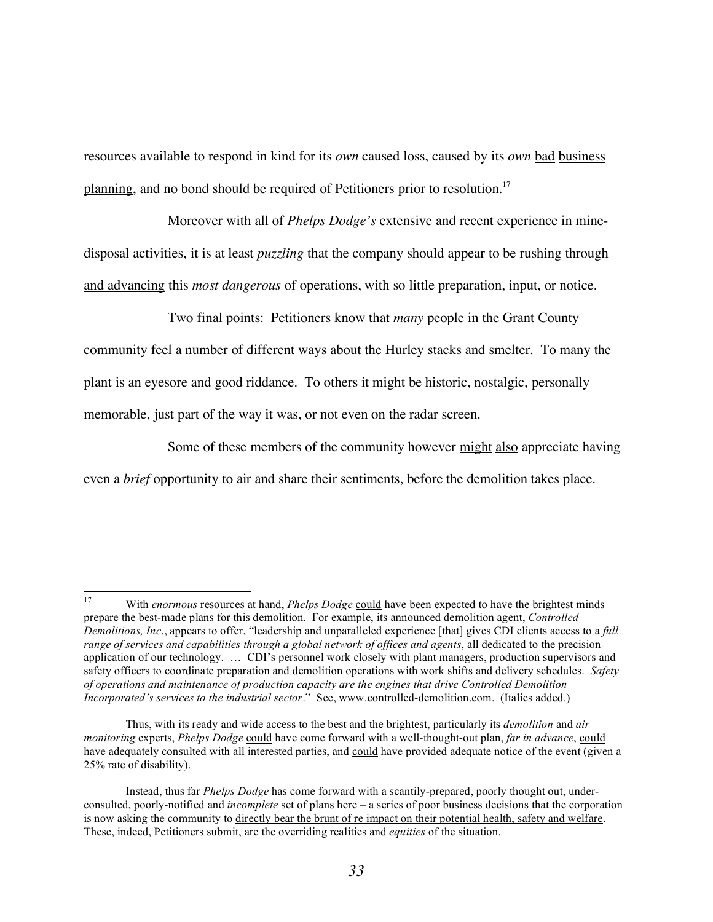resources available to respond in kind for its *own* caused loss, caused by its *own* bad business planning, and no bond should be required of Petitioners prior to resolution.<sup>17</sup>

Moreover with all of *Phelps Dodge's* extensive and recent experience in minedisposal activities, it is at least *puzzling* that the company should appear to be rushing through and advancing this *most dangerous* of operations, with so little preparation, input, or notice.

Two final points: Petitioners know that *many* people in the Grant County community feel a number of different ways about the Hurley stacks and smelter. To many the plant is an eyesore and good riddance. To others it might be historic, nostalgic, personally memorable, just part of the way it was, or not even on the radar screen.

Some of these members of the community however <u>might also</u> appreciate having even a *brief* opportunity to air and share their sentiments, before the demolition takes place.

 <sup>17</sup> With *enormous* resources at hand, *Phelps Dodge* could have been expected to have the brightest minds prepare the best-made plans for this demolition. For example, its announced demolition agent, *Controlled Demolitions, Inc*., appears to offer, "leadership and unparalleled experience [that] gives CDI clients access to a *full range of services and capabilities through a global network of offices and agents*, all dedicated to the precision application of our technology. … CDI's personnel work closely with plant managers, production supervisors and safety officers to coordinate preparation and demolition operations with work shifts and delivery schedules. *Safety of operations and maintenance of production capacity are the engines that drive Controlled Demolition Incorporated's services to the industrial sector*." See, www.controlled-demolition.com. (Italics added.)

Thus, with its ready and wide access to the best and the brightest, particularly its *demolition* and *air monitoring* experts, *Phelps Dodge* could have come forward with a well-thought-out plan, *far in advance*, could have adequately consulted with all interested parties, and could have provided adequate notice of the event (given a 25% rate of disability).

Instead, thus far *Phelps Dodge* has come forward with a scantily-prepared, poorly thought out, underconsulted, poorly-notified and *incomplete* set of plans here – a series of poor business decisions that the corporation is now asking the community to directly bear the brunt of re impact on their potential health, safety and welfare. These, indeed, Petitioners submit, are the overriding realities and *equities* of the situation.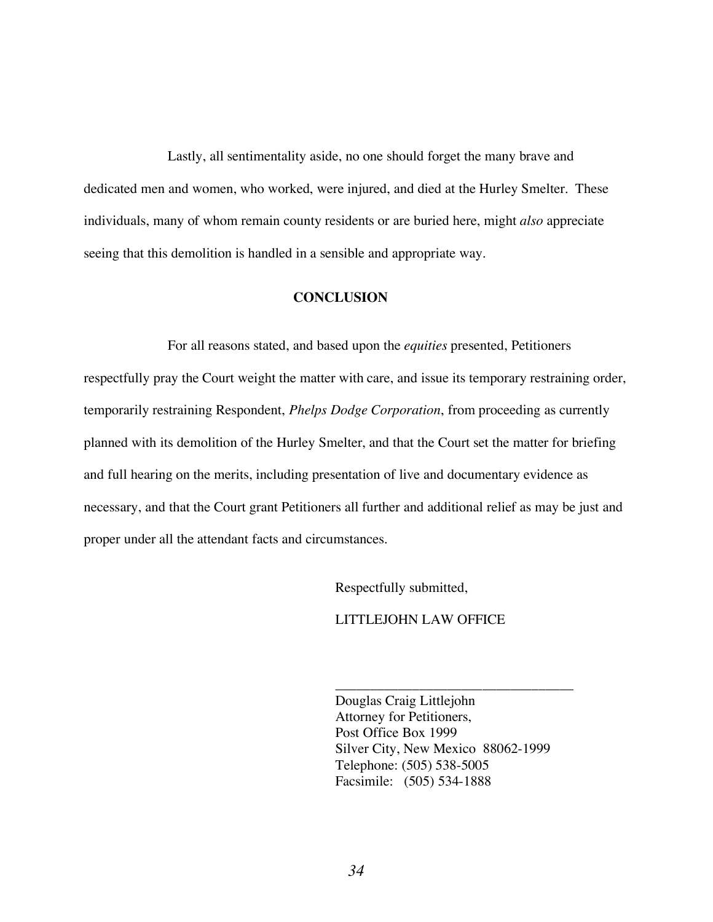Lastly, all sentimentality aside, no one should forget the many brave and dedicated men and women, who worked, were injured, and died at the Hurley Smelter. These individuals, many of whom remain county residents or are buried here, might *also* appreciate seeing that this demolition is handled in a sensible and appropriate way.

## **CONCLUSION**

For all reasons stated, and based upon the *equities* presented, Petitioners respectfully pray the Court weight the matter with care, and issue its temporary restraining order, temporarily restraining Respondent, *Phelps Dodge Corporation*, from proceeding as currently planned with its demolition of the Hurley Smelter, and that the Court set the matter for briefing and full hearing on the merits, including presentation of live and documentary evidence as necessary, and that the Court grant Petitioners all further and additional relief as may be just and proper under all the attendant facts and circumstances.

Respectfully submitted,

LITTLEJOHN LAW OFFICE

Douglas Craig Littlejohn Attorney for Petitioners, Post Office Box 1999 Silver City, New Mexico 88062-1999 Telephone: (505) 538-5005 Facsimile: (505) 534-1888

\_\_\_\_\_\_\_\_\_\_\_\_\_\_\_\_\_\_\_\_\_\_\_\_\_\_\_\_\_\_\_\_\_\_